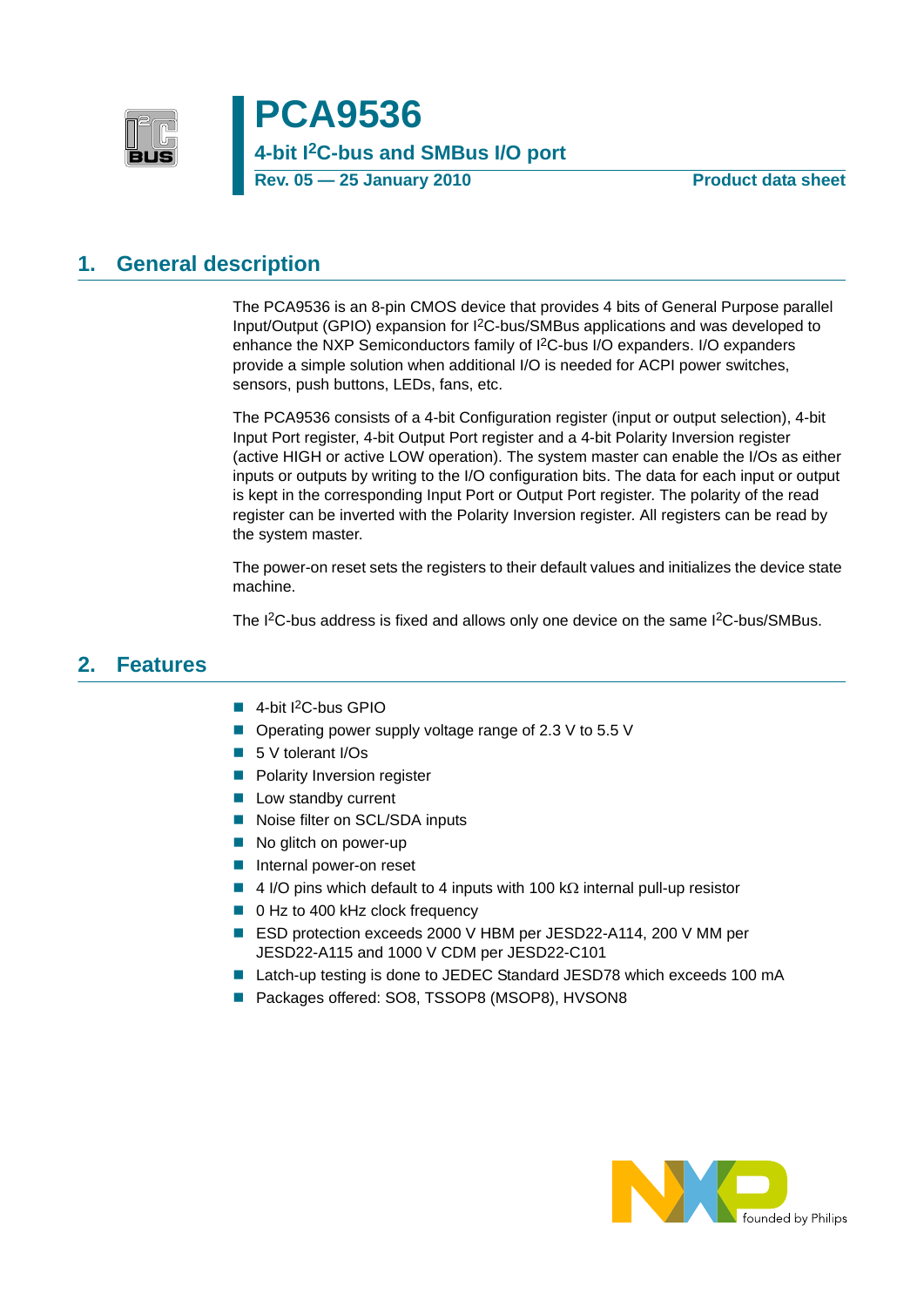

**PCA9536 4-bit I2C-bus and SMBus I/O port** Rev. 05 - 25 January 2010 **Product data sheet** 

# <span id="page-0-0"></span>**1. General description**

The PCA9536 is an 8-pin CMOS device that provides 4 bits of General Purpose parallel Input/Output (GPIO) expansion for I2C-bus/SMBus applications and was developed to enhance the NXP Semiconductors family of I2C-bus I/O expanders. I/O expanders provide a simple solution when additional I/O is needed for ACPI power switches, sensors, push buttons, LEDs, fans, etc.

The PCA9536 consists of a 4-bit Configuration register (input or output selection), 4-bit Input Port register, 4-bit Output Port register and a 4-bit Polarity Inversion register (active HIGH or active LOW operation). The system master can enable the I/Os as either inputs or outputs by writing to the I/O configuration bits. The data for each input or output is kept in the corresponding Input Port or Output Port register. The polarity of the read register can be inverted with the Polarity Inversion register. All registers can be read by the system master.

The power-on reset sets the registers to their default values and initializes the device state machine.

The I<sup>2</sup>C-bus address is fixed and allows only one device on the same I<sup>2</sup>C-bus/SMBus.

# <span id="page-0-1"></span>**2. Features**

- $\blacksquare$  4-bit I<sup>2</sup>C-bus GPIO
- Operating power supply voltage range of 2.3 V to 5.5 V
- 5 V tolerant I/Os
- **Polarity Inversion register**
- **Low standby current**
- Noise filter on SCL/SDA inputs
- No glitch on power-up
- Internal power-on reset
- $\blacksquare$  4 I/O pins which default to 4 inputs with 100 kΩ internal pull-up resistor
- 0 Hz to 400 kHz clock frequency
- ESD protection exceeds 2000 V HBM per JESD22-A114, 200 V MM per JESD22-A115 and 1000 V CDM per JESD22-C101
- Latch-up testing is done to JEDEC Standard JESD78 which exceeds 100 mA
- Packages offered: SO8, TSSOP8 (MSOP8), HVSON8

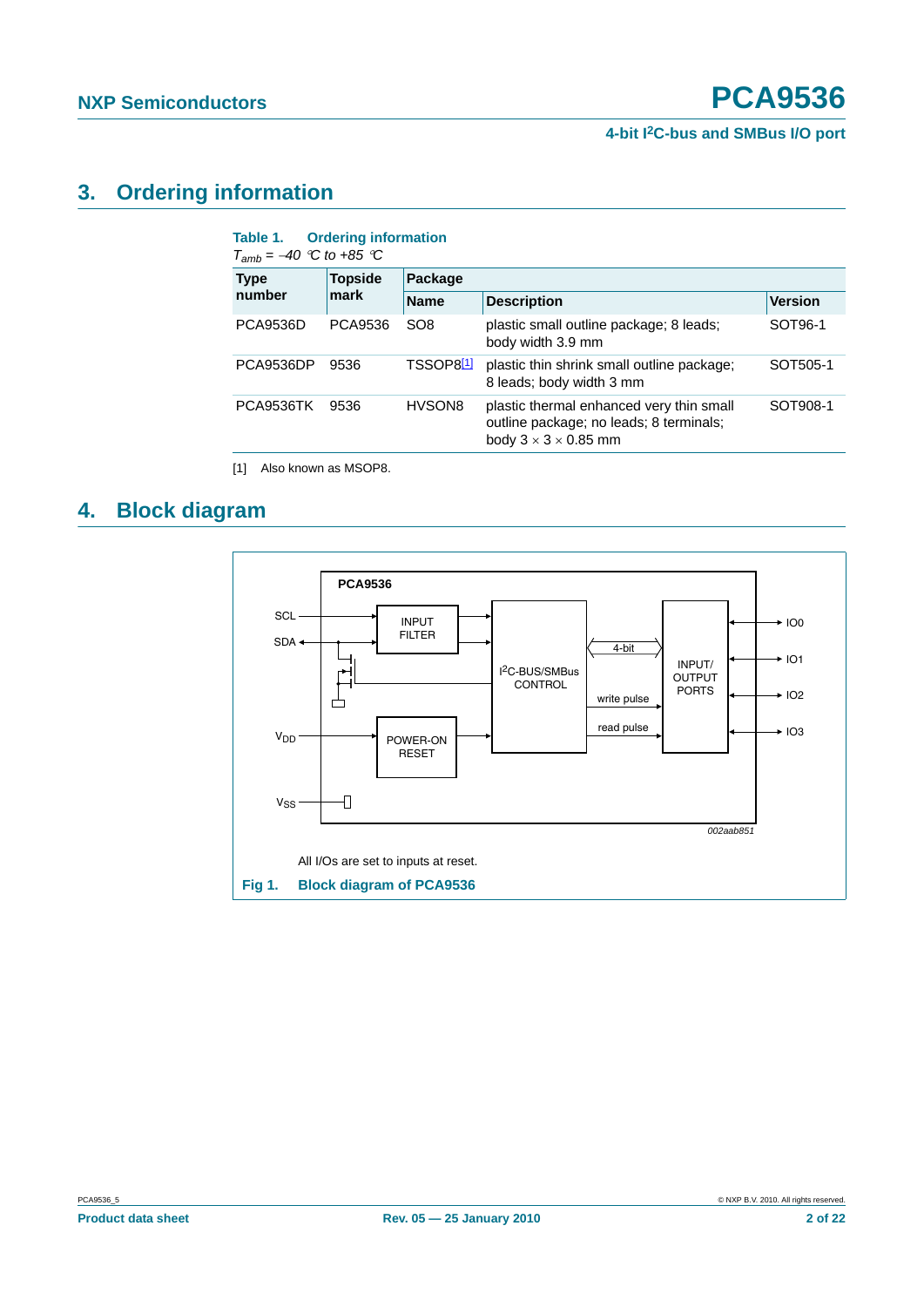# <span id="page-1-2"></span>**3. Ordering information**

| <b>Type</b>     | <b>Topside</b> | Package               |                                                                                                                         |                |  |  |  |  |  |
|-----------------|----------------|-----------------------|-------------------------------------------------------------------------------------------------------------------------|----------------|--|--|--|--|--|
| number          | mark           | <b>Name</b>           | <b>Description</b>                                                                                                      | <b>Version</b> |  |  |  |  |  |
| <b>PCA9536D</b> | PCA9536        | SO <sub>8</sub>       | plastic small outline package; 8 leads;<br>body width 3.9 mm                                                            | SOT96-1        |  |  |  |  |  |
| PCA9536DP       | 9536           | TSSOP8 <sup>[1]</sup> | plastic thin shrink small outline package;<br>8 leads; body width 3 mm                                                  | SOT505-1       |  |  |  |  |  |
| PCA9536TK       | 9536           | HVSON8                | plastic thermal enhanced very thin small<br>outline package; no leads; 8 terminals;<br>body $3 \times 3 \times 0.85$ mm | SOT908-1       |  |  |  |  |  |

<span id="page-1-0"></span>[1] Also known as MSOP8.

# <span id="page-1-3"></span>**4. Block diagram**

<span id="page-1-1"></span>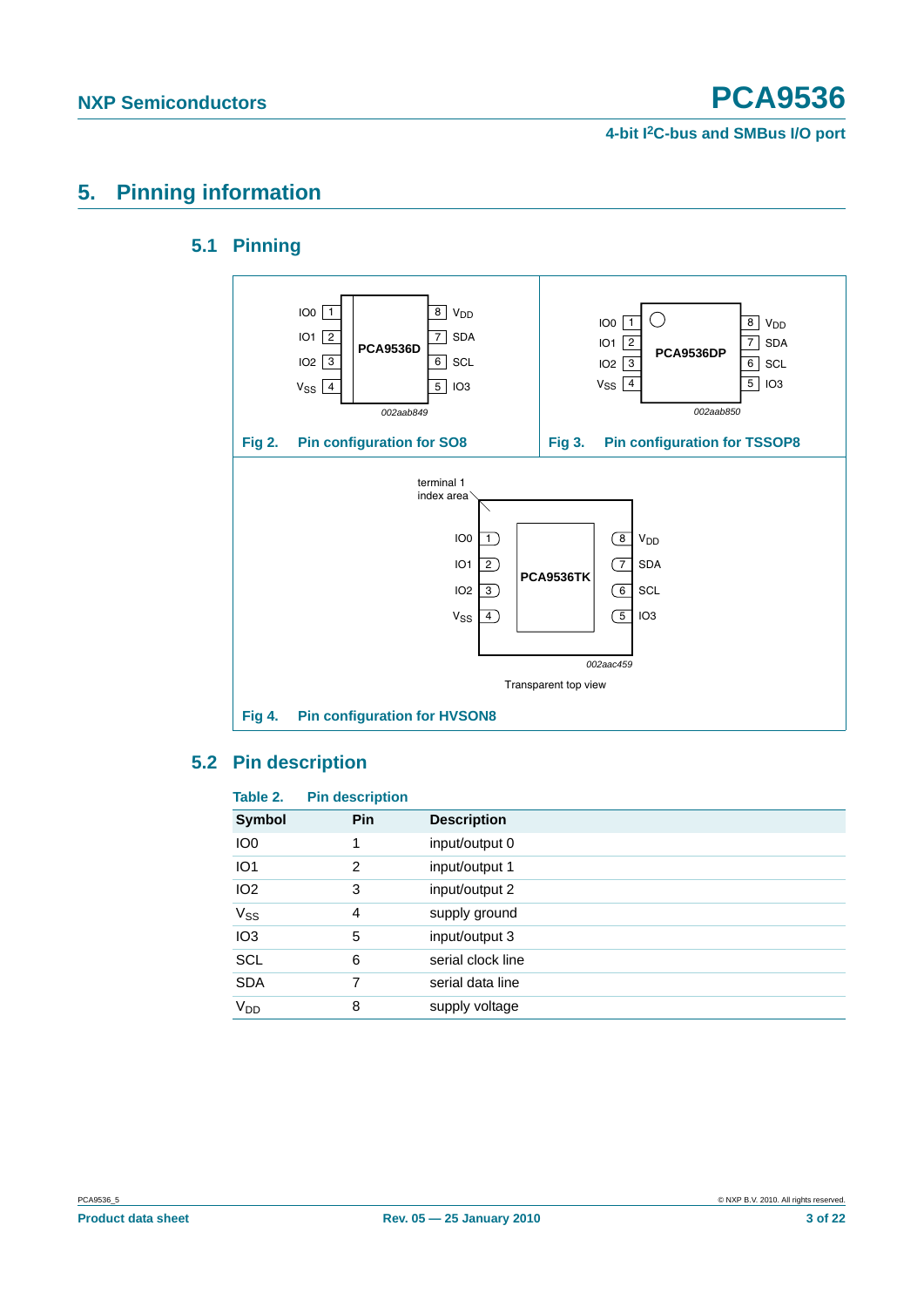# <span id="page-2-1"></span><span id="page-2-0"></span>**5. Pinning information**

# **5.1 Pinning**



# <span id="page-2-2"></span>**5.2 Pin description**

| Table 2.              | <b>Pin description</b> |                    |
|-----------------------|------------------------|--------------------|
| <b>Symbol</b>         | Pin                    | <b>Description</b> |
| IO <sub>0</sub>       |                        | input/output 0     |
| IO <sub>1</sub>       | 2                      | input/output 1     |
| IO <sub>2</sub>       | 3                      | input/output 2     |
| <b>V<sub>ss</sub></b> | 4                      | supply ground      |
| IO <sub>3</sub>       | 5                      | input/output 3     |
| <b>SCL</b>            | 6                      | serial clock line  |
| <b>SDA</b>            | 7                      | serial data line   |
| V <sub>DD</sub>       | 8                      | supply voltage     |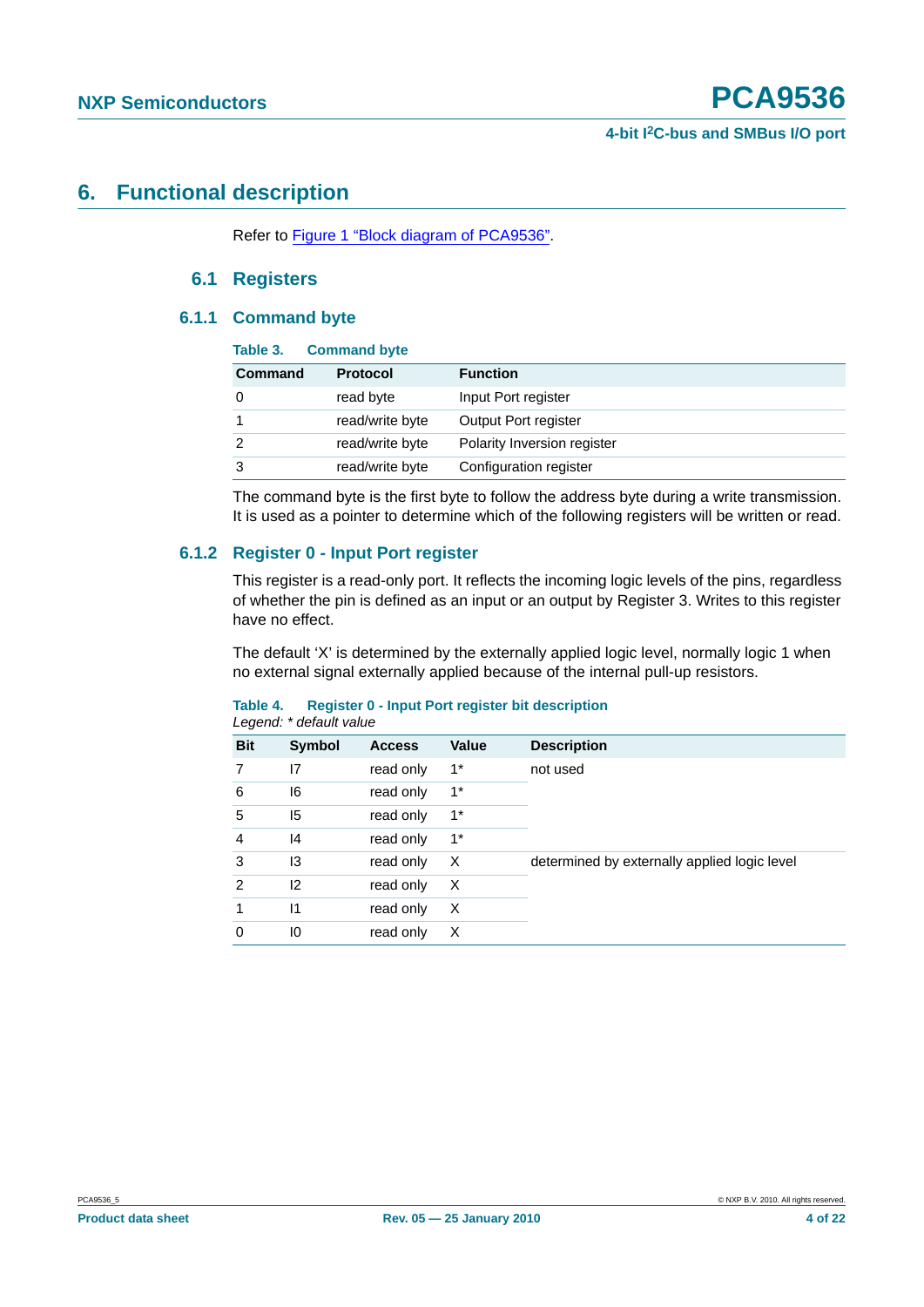# <span id="page-3-1"></span><span id="page-3-0"></span>**6. Functional description**

Refer to [Figure 1 "Block diagram of PCA9536"](#page-1-1).

### **6.1 Registers**

#### <span id="page-3-2"></span>**6.1.1 Command byte**

| Table 3. | <b>Command byte</b> |                             |
|----------|---------------------|-----------------------------|
| Command  | <b>Protocol</b>     | <b>Function</b>             |
|          | read byte           | Input Port register         |
|          | read/write byte     | Output Port register        |
| 2        | read/write byte     | Polarity Inversion register |
| 3        | read/write byte     | Configuration register      |

The command byte is the first byte to follow the address byte during a write transmission. It is used as a pointer to determine which of the following registers will be written or read.

### <span id="page-3-3"></span>**6.1.2 Register 0 - Input Port register**

This register is a read-only port. It reflects the incoming logic levels of the pins, regardless of whether the pin is defined as an input or an output by Register 3. Writes to this register have no effect.

The default 'X' is determined by the externally applied logic level, normally logic 1 when no external signal externally applied because of the internal pull-up resistors.

#### **Table 4. Register 0 - Input Port register bit description** *Legend: \* default value*

| <b>Bit</b>     | <b>Symbol</b> | <b>Access</b> | <b>Value</b> | <b>Description</b>                           |
|----------------|---------------|---------------|--------------|----------------------------------------------|
| 7              | 17            | read only     | $1^*$        | not used                                     |
| 6              | 16            | read only     | $1^*$        |                                              |
| 5              | 15            | read only     | $1^*$        |                                              |
| $\overline{4}$ | 4             | read only     | $1^*$        |                                              |
| 3              | 13            | read only     | X            | determined by externally applied logic level |
| 2              | 12            | read only     | X            |                                              |
| 1              | $\mathsf{I}$  | read only     | X            |                                              |
| 0              | 10            | read only     | X            |                                              |
|                |               |               |              |                                              |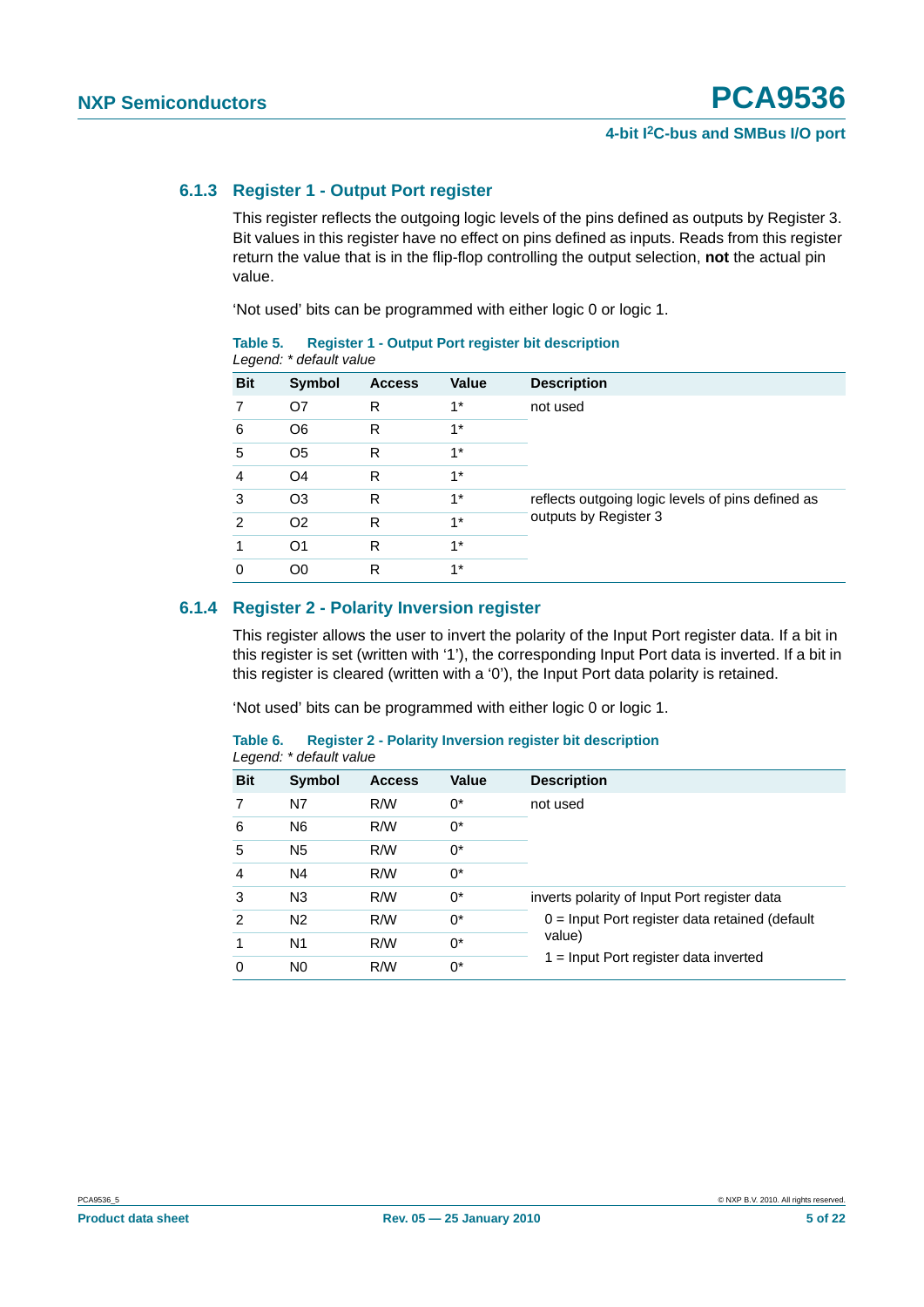#### <span id="page-4-0"></span>**6.1.3 Register 1 - Output Port register**

This register reflects the outgoing logic levels of the pins defined as outputs by Register 3. Bit values in this register have no effect on pins defined as inputs. Reads from this register return the value that is in the flip-flop controlling the output selection, **not** the actual pin value.

'Not used' bits can be programmed with either logic 0 or logic 1.

| <b>Bit</b> | <b>Symbol</b>  | <b>Access</b> | <b>Value</b> | <b>Description</b>                                |
|------------|----------------|---------------|--------------|---------------------------------------------------|
|            | O7             | R             | $1^*$        | not used                                          |
| 6          | O <sub>6</sub> | R             | $1^*$        |                                                   |
| 5          | O <sub>5</sub> | R             | $1*$         |                                                   |
| 4          | O <sub>4</sub> | R             | $1*$         |                                                   |
| 3          | O <sub>3</sub> | R             | $1^*$        | reflects outgoing logic levels of pins defined as |
| 2          | O <sub>2</sub> | R             | $1^*$        | outputs by Register 3                             |
|            | O <sub>1</sub> | R             | $1*$         |                                                   |
| 0          | O <sub>0</sub> | R             | $1*$         |                                                   |

**Table 5. Register 1 - Output Port register bit description** *Legend: \* default value*

### <span id="page-4-1"></span>**6.1.4 Register 2 - Polarity Inversion register**

This register allows the user to invert the polarity of the Input Port register data. If a bit in this register is set (written with '1'), the corresponding Input Port data is inverted. If a bit in this register is cleared (written with a '0'), the Input Port data polarity is retained.

'Not used' bits can be programmed with either logic 0 or logic 1.

|                | Legend: * default value |               |              |                                                  |  |  |  |  |
|----------------|-------------------------|---------------|--------------|--------------------------------------------------|--|--|--|--|
| <b>Bit</b>     | Symbol                  | <b>Access</b> | <b>Value</b> | <b>Description</b>                               |  |  |  |  |
|                | N7                      | R/W           | 0*           | not used                                         |  |  |  |  |
| 6              | N <sub>6</sub>          | R/W           | $0^*$        |                                                  |  |  |  |  |
| 5              | N <sub>5</sub>          | R/W           | 0*           |                                                  |  |  |  |  |
| 4              | N4                      | R/W           | $0^*$        |                                                  |  |  |  |  |
| 3              | N <sub>3</sub>          | R/W           | $0^*$        | inverts polarity of Input Port register data     |  |  |  |  |
| $\mathfrak{p}$ | N <sub>2</sub>          | R/W           | $0^*$        | $0 =$ Input Port register data retained (default |  |  |  |  |
|                | N <sub>1</sub>          | R/W           | $0^*$        | value)                                           |  |  |  |  |
| $\Omega$       | N <sub>0</sub>          | R/W           | $0^*$        | $1 =$ Input Port register data inverted          |  |  |  |  |

**Table 6. Register 2 - Polarity Inversion register bit description**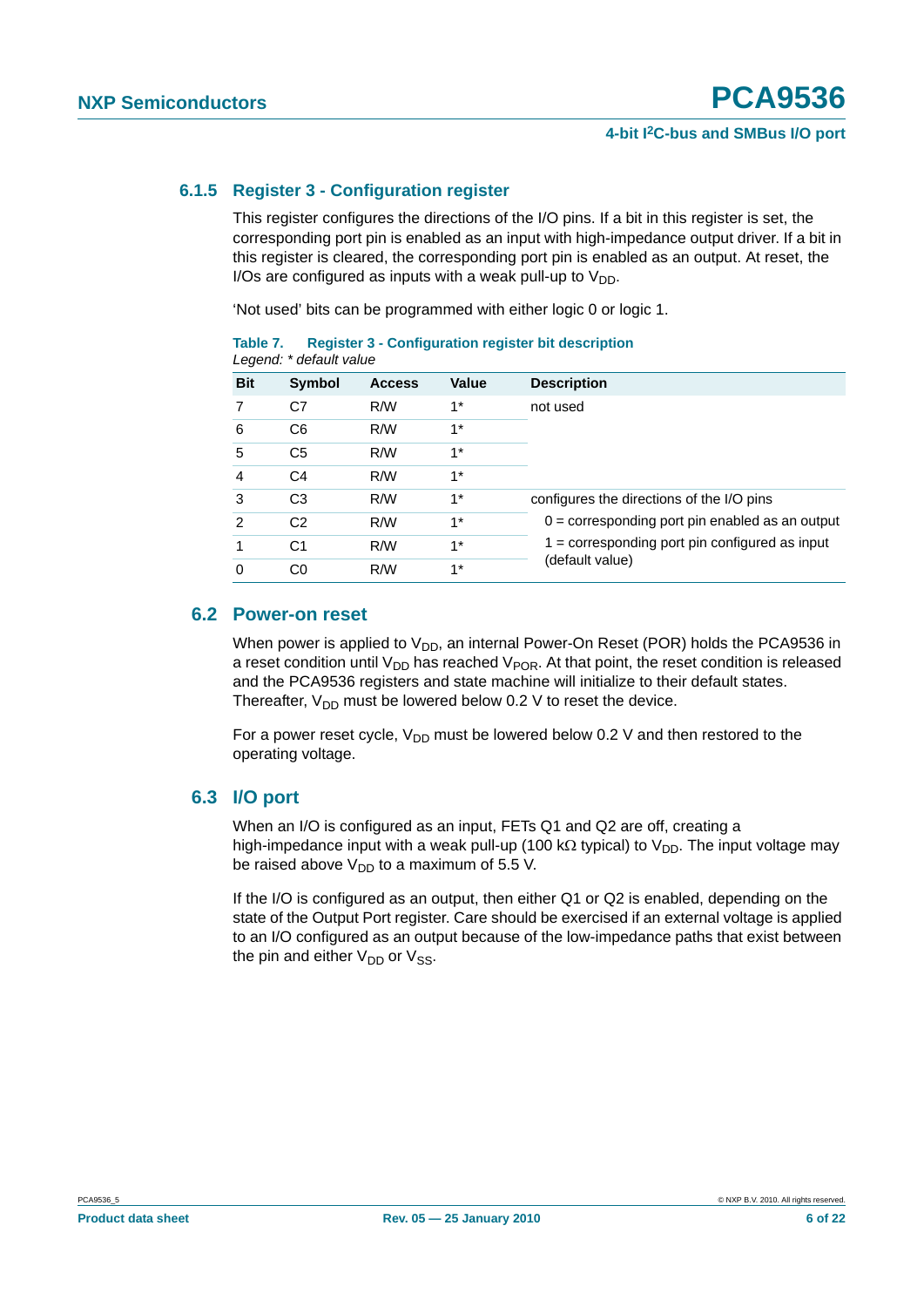### <span id="page-5-0"></span>**6.1.5 Register 3 - Configuration register**

This register configures the directions of the I/O pins. If a bit in this register is set, the corresponding port pin is enabled as an input with high-impedance output driver. If a bit in this register is cleared, the corresponding port pin is enabled as an output. At reset, the I/Os are configured as inputs with a weak pull-up to  $V_{DD}$ .

'Not used' bits can be programmed with either logic 0 or logic 1.

|            | Legend: * default value |               |       |                                                   |  |  |  |  |  |  |
|------------|-------------------------|---------------|-------|---------------------------------------------------|--|--|--|--|--|--|
| <b>Bit</b> | Symbol                  | <b>Access</b> | Value | <b>Description</b>                                |  |  |  |  |  |  |
| 7          | C7                      | R/W           | $1^*$ | not used                                          |  |  |  |  |  |  |
| 6          | C <sub>6</sub>          | R/W           | $1^*$ |                                                   |  |  |  |  |  |  |
| 5          | C <sub>5</sub>          | R/W           | $1*$  |                                                   |  |  |  |  |  |  |
| 4          | C <sub>4</sub>          | R/W           | $1^*$ |                                                   |  |  |  |  |  |  |
| 3          | C <sub>3</sub>          | R/W           | $1^*$ | configures the directions of the I/O pins         |  |  |  |  |  |  |
| 2          | C <sub>2</sub>          | R/W           | $1^*$ | $0 =$ corresponding port pin enabled as an output |  |  |  |  |  |  |
|            | C <sub>1</sub>          | R/W           | $1^*$ | $1 =$ corresponding port pin configured as input  |  |  |  |  |  |  |
|            | C0                      | R/W           | $1*$  | (default value)                                   |  |  |  |  |  |  |

**Table 7. Register 3 - Configuration register bit description**

### <span id="page-5-1"></span>**6.2 Power-on reset**

When power is applied to  $V_{DD}$ , an internal Power-On Reset (POR) holds the PCA9536 in a reset condition until  $V_{DD}$  has reached  $V_{POR}$ . At that point, the reset condition is released and the PCA9536 registers and state machine will initialize to their default states. Thereafter,  $V_{DD}$  must be lowered below 0.2 V to reset the device.

For a power reset cycle,  $V_{DD}$  must be lowered below 0.2 V and then restored to the operating voltage.

### <span id="page-5-2"></span>**6.3 I/O port**

When an I/O is configured as an input, FETs Q1 and Q2 are off, creating a high-impedance input with a weak pull-up (100 kΩ typical) to  $V_{DD}$ . The input voltage may be raised above  $V_{DD}$  to a maximum of 5.5 V.

If the I/O is configured as an output, then either Q1 or Q2 is enabled, depending on the state of the Output Port register. Care should be exercised if an external voltage is applied to an I/O configured as an output because of the low-impedance paths that exist between the pin and either  $V_{DD}$  or  $V_{SS}$ .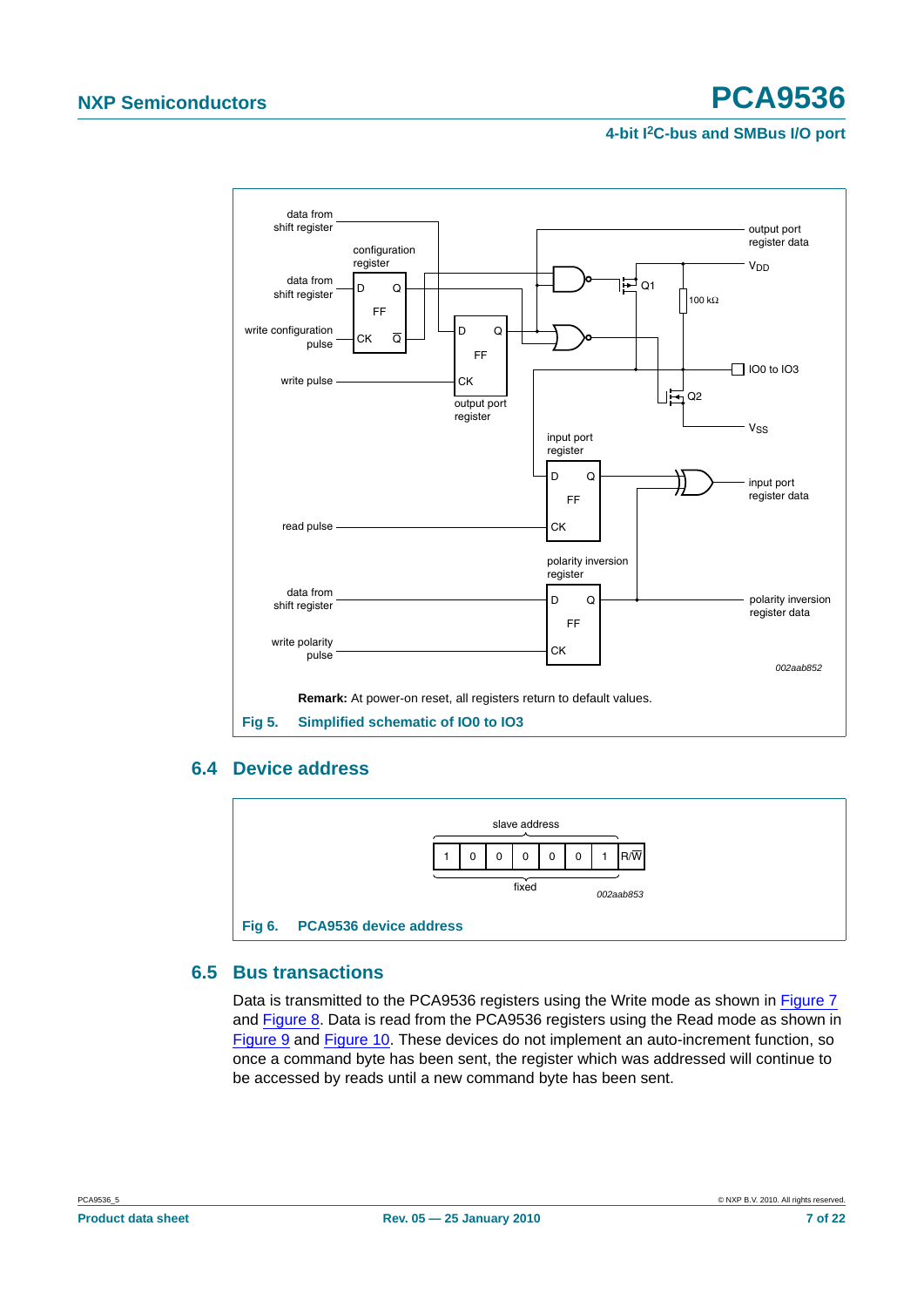# **NXP Semiconductors PCA9536**

### **4-bit I2C-bus and SMBus I/O port**



### <span id="page-6-0"></span>**6.4 Device address**



# <span id="page-6-1"></span>**6.5 Bus transactions**

Data is transmitted to the PCA9536 registers using the Write mode as shown in [Figure 7](#page-7-0) and [Figure 8](#page-7-1). Data is read from the PCA9536 registers using the Read mode as shown in [Figure 9](#page-7-2) and [Figure 10](#page-8-0). These devices do not implement an auto-increment function, so once a command byte has been sent, the register which was addressed will continue to be accessed by reads until a new command byte has been sent.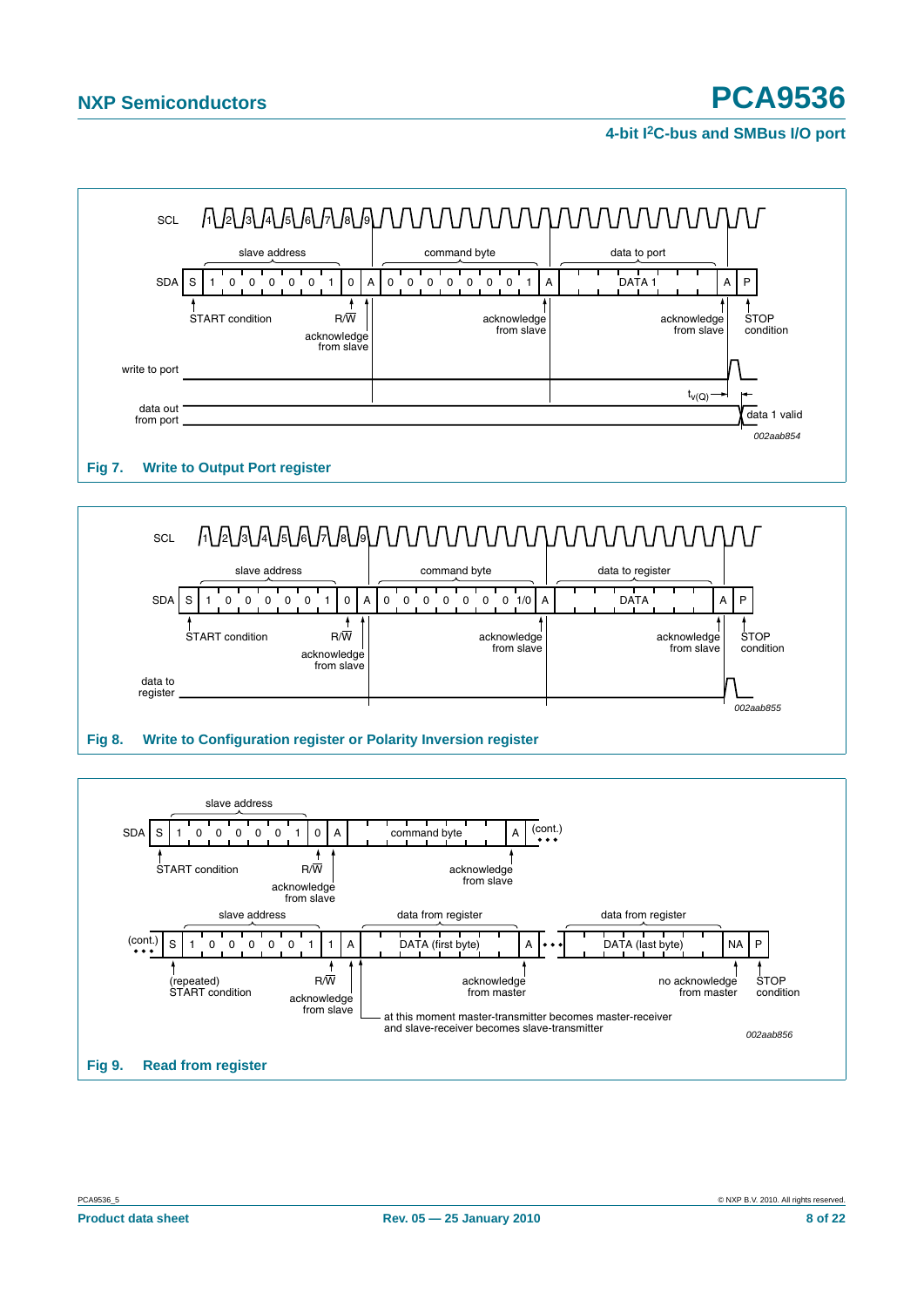

# <span id="page-7-0"></span>**Fig 7. Write to Output Port register**



<span id="page-7-2"></span><span id="page-7-1"></span>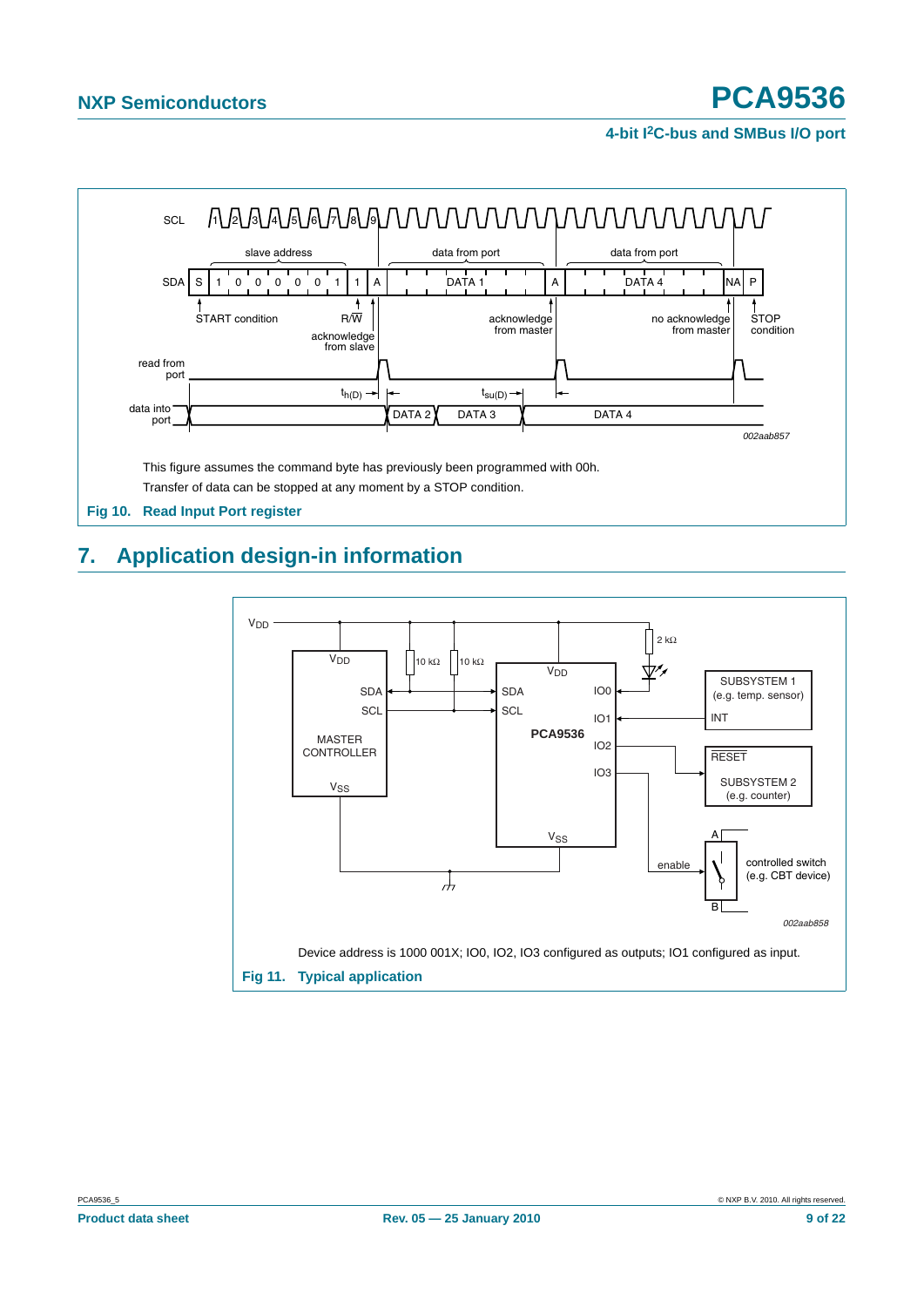

# <span id="page-8-1"></span><span id="page-8-0"></span>**7. Application design-in information**

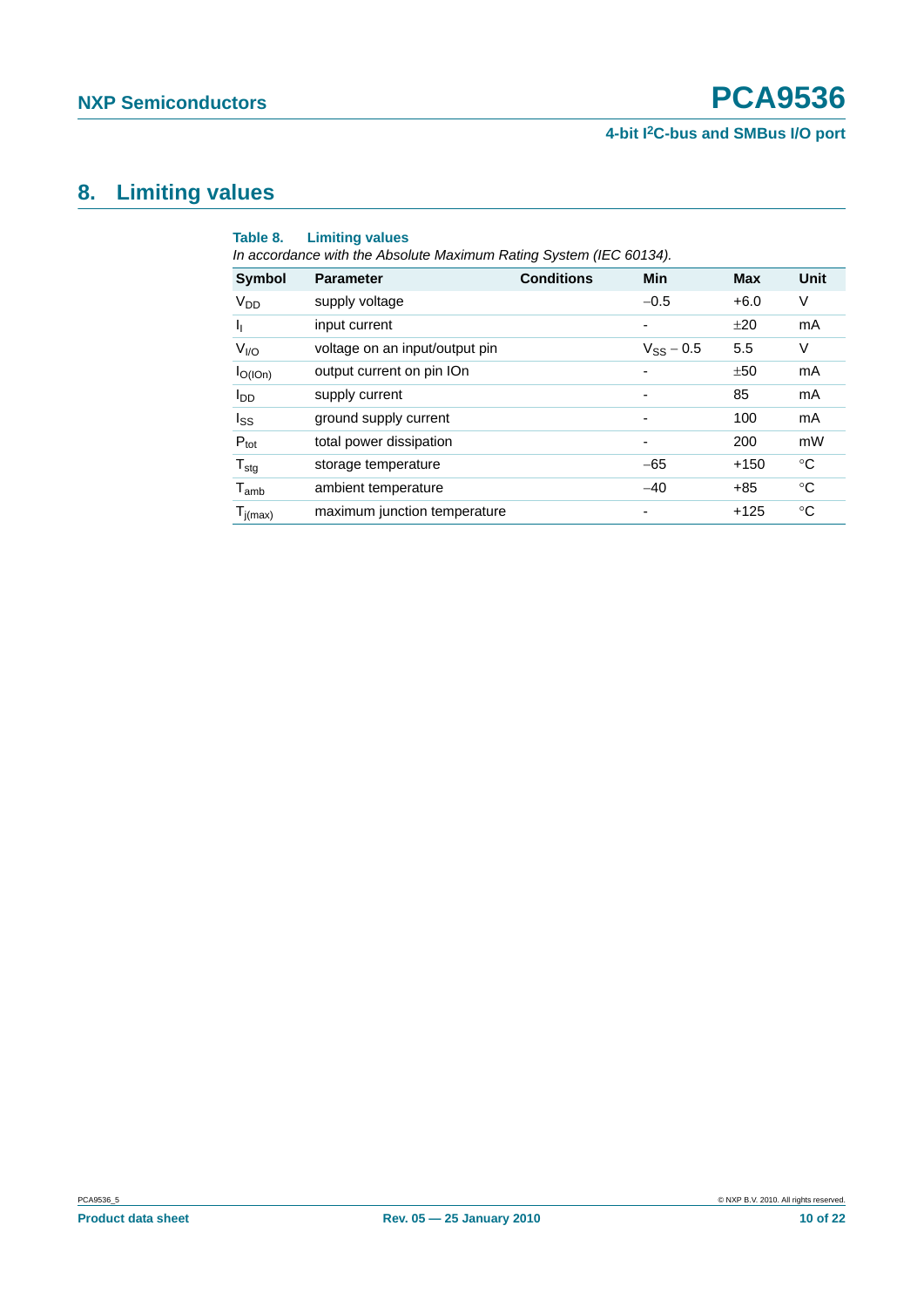# <span id="page-9-0"></span>**8. Limiting values**

| Table 8.<br><b>Limiting values</b><br>In accordance with the Absolute Maximum Rating System (IEC 60134). |                                |                   |                          |            |             |  |
|----------------------------------------------------------------------------------------------------------|--------------------------------|-------------------|--------------------------|------------|-------------|--|
| <b>Symbol</b>                                                                                            | <b>Parameter</b>               | <b>Conditions</b> | Min                      | <b>Max</b> | Unit        |  |
| <b>V<sub>DD</sub></b>                                                                                    | supply voltage                 |                   | $-0.5$                   | $+6.0$     | V           |  |
| h                                                                                                        | input current                  |                   | ٠                        | ±20        | mA          |  |
| V <sub>I/O</sub>                                                                                         | voltage on an input/output pin |                   | $V_{SS} - 0.5$           | 5.5        | V           |  |
| $I_{O(10n)}$                                                                                             | output current on pin IOn      |                   |                          | ±50        | mA          |  |
| <b>I</b> <sub>DD</sub>                                                                                   | supply current                 |                   |                          | 85         | mA          |  |
| $I_{SS}$                                                                                                 | ground supply current          |                   | $\overline{\phantom{a}}$ | 100        | mA          |  |
| $P_{\text{tot}}$                                                                                         | total power dissipation        |                   | $\overline{\phantom{a}}$ | 200        | mW          |  |
| $T_{\text{stg}}$                                                                                         | storage temperature            |                   | $-65$                    | $+150$     | °C          |  |
| $T_{amb}$                                                                                                | ambient temperature            |                   | $-40$                    | $+85$      | $^{\circ}C$ |  |
| $T_{j(max)}$                                                                                             | maximum junction temperature   |                   | $\overline{\phantom{a}}$ | $+125$     | °C          |  |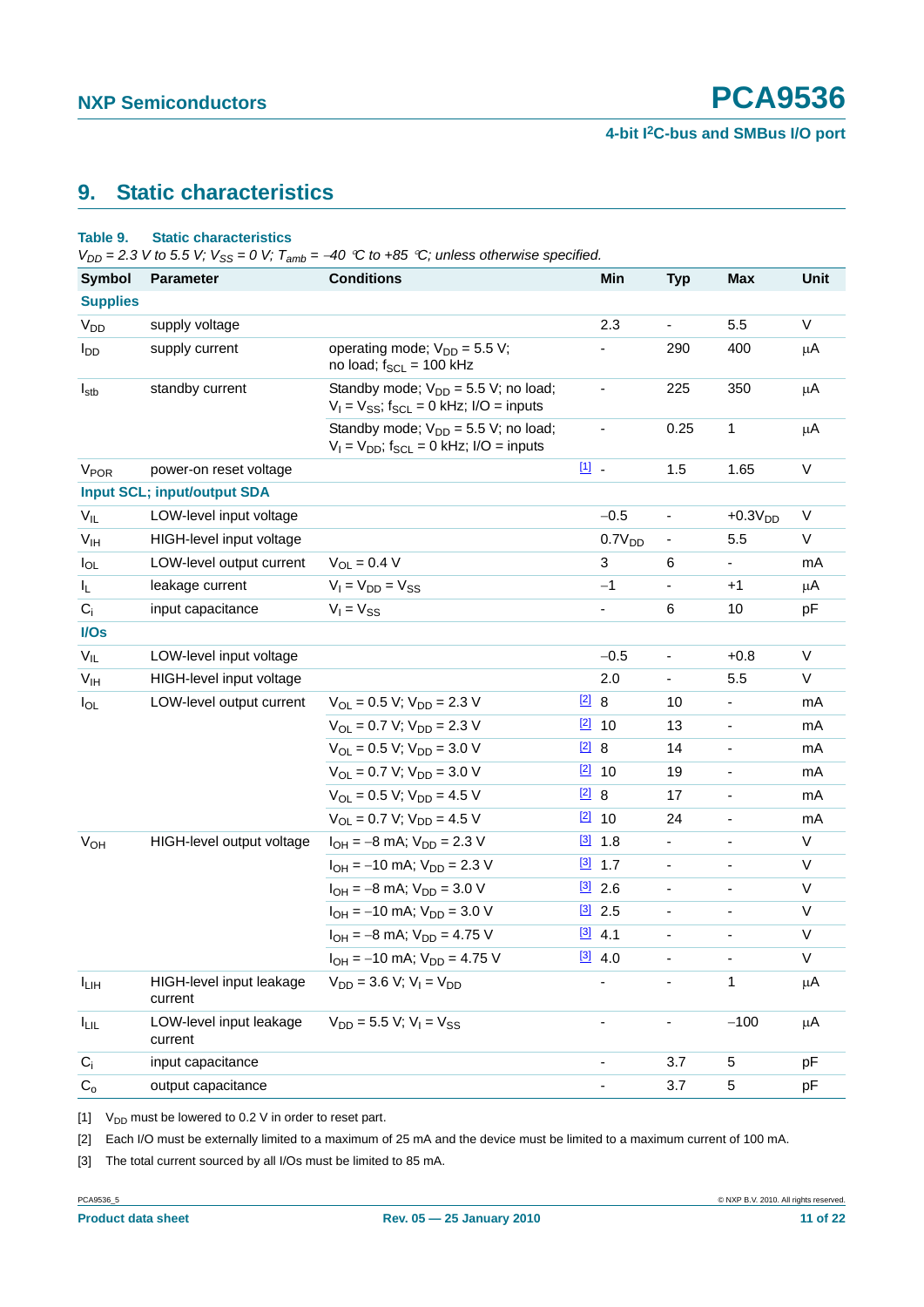# <span id="page-10-4"></span>**9. Static characteristics**

#### <span id="page-10-3"></span>**Table 9. Static characteristics**

 $V_{DD} = 2.3$  *V to 5.5 V;*  $V_{SS} = 0$  *V;*  $T_{amb} = -40$  °C to +85 °C; unless otherwise specified.

| <b>Symbol</b>           | <b>Parameter</b>                    | <b>Conditions</b>                                                                                    |               | Min                | <b>Typ</b>     | <b>Max</b>               | <b>Unit</b>  |
|-------------------------|-------------------------------------|------------------------------------------------------------------------------------------------------|---------------|--------------------|----------------|--------------------------|--------------|
| <b>Supplies</b>         |                                     |                                                                                                      |               |                    |                |                          |              |
| V <sub>DD</sub>         | supply voltage                      |                                                                                                      |               | 2.3                | $\blacksquare$ | 5.5                      | V            |
| <b>I</b> <sub>DD</sub>  | supply current                      | operating mode; $V_{DD} = 5.5 V$ ;<br>no load; $f_{SCL} = 100$ kHz                                   |               |                    | 290            | 400                      | μA           |
| $I_{\text{stb}}$        | standby current                     | Standby mode; $V_{DD} = 5.5 V$ ; no load;<br>$V_1 = V_{SS}$ ; f <sub>SCL</sub> = 0 kHz; I/O = inputs |               |                    | 225            | 350                      | μA           |
|                         |                                     | Standby mode; $V_{DD} = 5.5 V$ ; no load;<br>$V_1 = V_{DD}$ ; f <sub>SCL</sub> = 0 kHz; I/O = inputs |               | $\frac{1}{2}$      | 0.25           | 1                        | μA           |
| <b>V<sub>POR</sub></b>  | power-on reset voltage              |                                                                                                      | 凹.            |                    | 1.5            | 1.65                     | $\mathsf{V}$ |
|                         | <b>Input SCL; input/output SDA</b>  |                                                                                                      |               |                    |                |                          |              |
| $V_{IL}$                | LOW-level input voltage             |                                                                                                      |               | $-0.5$             | $\blacksquare$ | $+0.3VDD$                | $\mathsf V$  |
| V <sub>IH</sub>         | HIGH-level input voltage            |                                                                                                      |               | 0.7V <sub>DD</sub> | $\blacksquare$ | 5.5                      | V            |
| $I_{OL}$                | LOW-level output current            | $V_{OL} = 0.4 V$                                                                                     |               | 3                  | 6              | $\blacksquare$           | mA           |
| IL.                     | leakage current                     | $V_I = V_{DD} = V_{SS}$                                                                              |               | $-1$               | $\blacksquare$ | $+1$                     | μA           |
| $C_i$                   | input capacitance                   | $V_1 = V_{SS}$                                                                                       |               | ۰                  | 6              | 10                       | pF           |
| I/Os                    |                                     |                                                                                                      |               |                    |                |                          |              |
| $V_{IL}$                | LOW-level input voltage             |                                                                                                      |               | $-0.5$             | $\blacksquare$ | $+0.8$                   | $\vee$       |
| V <sub>IH</sub>         | HIGH-level input voltage            |                                                                                                      |               | 2.0                | $\blacksquare$ | 5.5                      | V            |
| $I_{OL}$                | LOW-level output current            | $V_{\text{OI}} = 0.5 V$ ; $V_{\text{DD}} = 2.3 V$                                                    | $\boxed{2}$   | 8                  | 10             | ÷,                       | mA           |
|                         |                                     | $V_{OL} = 0.7 V; V_{DD} = 2.3 V$                                                                     |               | $\boxed{2}$ 10     | 13             | $\overline{\phantom{0}}$ | mA           |
|                         |                                     | $V_{OL} = 0.5 V$ ; $V_{DD} = 3.0 V$                                                                  | $[2]$ 8       |                    | 14             | $\blacksquare$           | mA           |
|                         |                                     | $V_{OL} = 0.7 V$ ; $V_{DD} = 3.0 V$                                                                  |               | $\boxed{2}$ 10     | 19             | $\blacksquare$           | mA           |
|                         |                                     | $V_{OL} = 0.5 V$ ; $V_{DD} = 4.5 V$                                                                  | $\boxed{2}$ 8 |                    | 17             | ÷,                       | mA           |
|                         |                                     | $V_{OL} = 0.7 V$ ; $V_{DD} = 4.5 V$                                                                  |               | $\boxed{2}$ 10     | 24             | $\blacksquare$           | mA           |
| <b>V<sub>OH</sub></b>   | HIGH-level output voltage           | $I_{OH} = -8$ mA; $V_{DD} = 2.3$ V                                                                   |               | $[3]$ 1.8          | $\blacksquare$ | ÷,                       | $\mathsf{V}$ |
|                         |                                     | $I_{OH} = -10$ mA; $V_{DD} = 2.3$ V                                                                  |               | $[3]$ 1.7          | $\blacksquare$ | $\blacksquare$           | V            |
|                         |                                     | $I_{OH} = -8$ mA; $V_{DD} = 3.0$ V                                                                   |               | $[3]$ 2.6          | $\blacksquare$ | ä,                       | $\vee$       |
|                         |                                     | $I_{OH} = -10$ mA; $V_{DD} = 3.0$ V                                                                  |               | $\boxed{3}$ 2.5    | $\blacksquare$ | $\overline{\phantom{a}}$ | V            |
|                         |                                     | $I_{OH} = -8$ mA; $V_{DD} = 4.75$ V                                                                  |               | $[3]$ 4.1          |                |                          | $\vee$       |
|                         |                                     | $I_{OH}$ = -10 mA; $V_{DD}$ = 4.75 V                                                                 |               | $[3]$ 4.0          |                |                          | V            |
| $I_{LIH}$               | HIGH-level input leakage<br>current | $V_{DD} = 3.6 V$ ; $V_1 = V_{DD}$                                                                    |               |                    |                | 1                        | μA           |
| <b>ILIL</b>             | LOW-level input leakage<br>current  | $V_{DD} = 5.5 V$ ; $V_1 = V_{SS}$                                                                    |               |                    |                | $-100$                   | μA           |
| $C_i$                   | input capacitance                   |                                                                                                      |               | -                  | 3.7            | 5                        | pF           |
| $\mathrm{C}_\mathrm{o}$ | output capacitance                  |                                                                                                      |               |                    | 3.7            | 5                        | pF           |

<span id="page-10-0"></span>[1]  $V_{DD}$  must be lowered to 0.2 V in order to reset part.

<span id="page-10-1"></span>[2] Each I/O must be externally limited to a maximum of 25 mA and the device must be limited to a maximum current of 100 mA.

<span id="page-10-2"></span>[3] The total current sourced by all I/Os must be limited to 85 mA.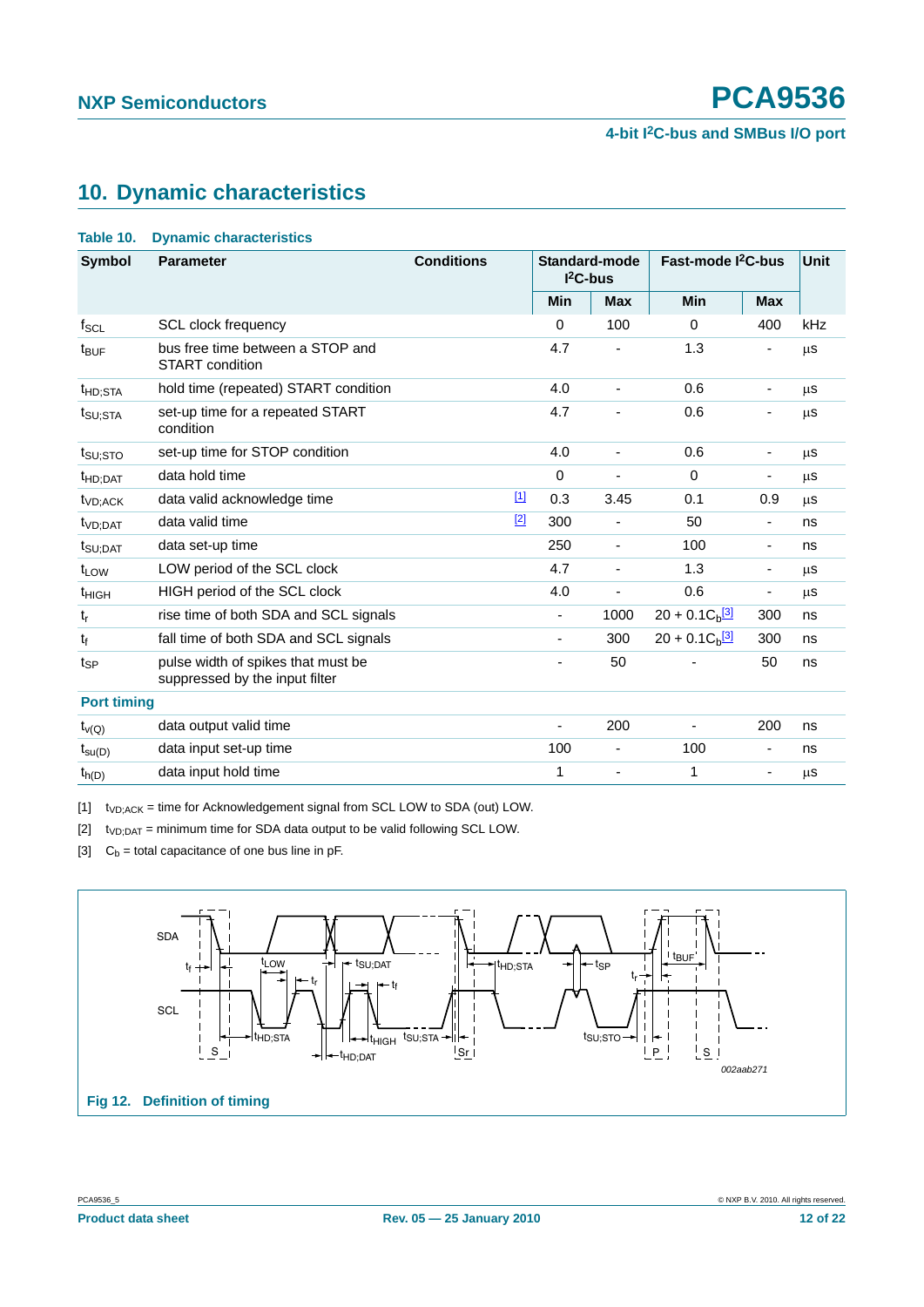# <span id="page-11-4"></span>**10. Dynamic characteristics**

<span id="page-11-3"></span>

| Table 10. |  | <b>Dynamic characteristics</b> |
|-----------|--|--------------------------------|
|-----------|--|--------------------------------|

| <b>Symbol</b>        | <b>Parameter</b>                                                     | <b>Conditions</b> |                          | <b>Standard-mode</b><br>$I2C-bus$ | Fast-mode I <sup>2</sup> C-bus |                          | <b>Unit</b> |
|----------------------|----------------------------------------------------------------------|-------------------|--------------------------|-----------------------------------|--------------------------------|--------------------------|-------------|
|                      |                                                                      |                   | Min                      | <b>Max</b>                        | Min                            | <b>Max</b>               |             |
| $f_{SCL}$            | <b>SCL clock frequency</b>                                           |                   | $\Omega$                 | 100                               | $\Omega$                       | 400                      | kHz         |
| t <sub>BUF</sub>     | bus free time between a STOP and<br><b>START</b> condition           |                   | 4.7                      |                                   | 1.3                            |                          | μS          |
| <sup>t</sup> HD;STA  | hold time (repeated) START condition                                 |                   | 4.0                      | $\overline{\phantom{a}}$          | 0.6                            |                          | μS          |
| t <sub>SU;STA</sub>  | set-up time for a repeated START<br>condition                        |                   | 4.7                      | $\overline{\phantom{a}}$          | 0.6                            |                          | μS          |
| t <sub>SU:STO</sub>  | set-up time for STOP condition                                       |                   | 4.0                      | $\overline{\phantom{a}}$          | 0.6                            |                          | μS          |
| t <sub>HD;DAT</sub>  | data hold time                                                       |                   | 0                        | $\overline{\phantom{a}}$          | $\Omega$                       |                          | μS          |
| t <sub>VD</sub> :ACK | data valid acknowledge time                                          | $[1]$             | 0.3                      | 3.45                              | 0.1                            | 0.9                      | μS          |
| t <sub>VD;DAT</sub>  | data valid time                                                      | $[2]$             | 300                      | $\overline{\phantom{a}}$          | 50                             | $\overline{\phantom{a}}$ | ns          |
| t <sub>SU;DAT</sub>  | data set-up time                                                     |                   | 250                      | $\overline{\phantom{a}}$          | 100                            | -                        | ns          |
| t <sub>LOW</sub>     | LOW period of the SCL clock                                          |                   | 4.7                      | $\overline{\phantom{a}}$          | 1.3                            | $\overline{\phantom{a}}$ | μS          |
| <sup>t</sup> HIGH    | HIGH period of the SCL clock                                         |                   | 4.0                      | ٠                                 | 0.6                            |                          | μs          |
| $t_{r}$              | rise time of both SDA and SCL signals                                |                   |                          | 1000                              | $20 + 0.1C_b$ <sup>[3]</sup>   | 300                      | ns          |
| $t_f$                | fall time of both SDA and SCL signals                                |                   |                          | 300                               | $20 + 0.1 Cb$ <sup>[3]</sup>   | 300                      | ns          |
| $t_{SP}$             | pulse width of spikes that must be<br>suppressed by the input filter |                   |                          | 50                                |                                | 50                       | ns          |
| <b>Port timing</b>   |                                                                      |                   |                          |                                   |                                |                          |             |
| $t_{V(Q)}$           | data output valid time                                               |                   | $\overline{\phantom{a}}$ | 200                               |                                | 200                      | ns          |
| $t_{\text{su}(D)}$   | data input set-up time                                               |                   | 100                      | $\overline{\phantom{a}}$          | 100                            |                          | ns          |
| $t_{h(D)}$           | data input hold time                                                 |                   | 1                        | $\qquad \qquad \blacksquare$      | 1                              | ٠                        | μs          |

<span id="page-11-0"></span> $[1]$  t<sub>VD;ACK</sub> = time for Acknowledgement signal from SCL LOW to SDA (out) LOW.

<span id="page-11-1"></span> $[2]$  t<sub>VD;DAT</sub> = minimum time for SDA data output to be valid following SCL LOW.

<span id="page-11-2"></span>[3]  $C_b =$  total capacitance of one bus line in pF.

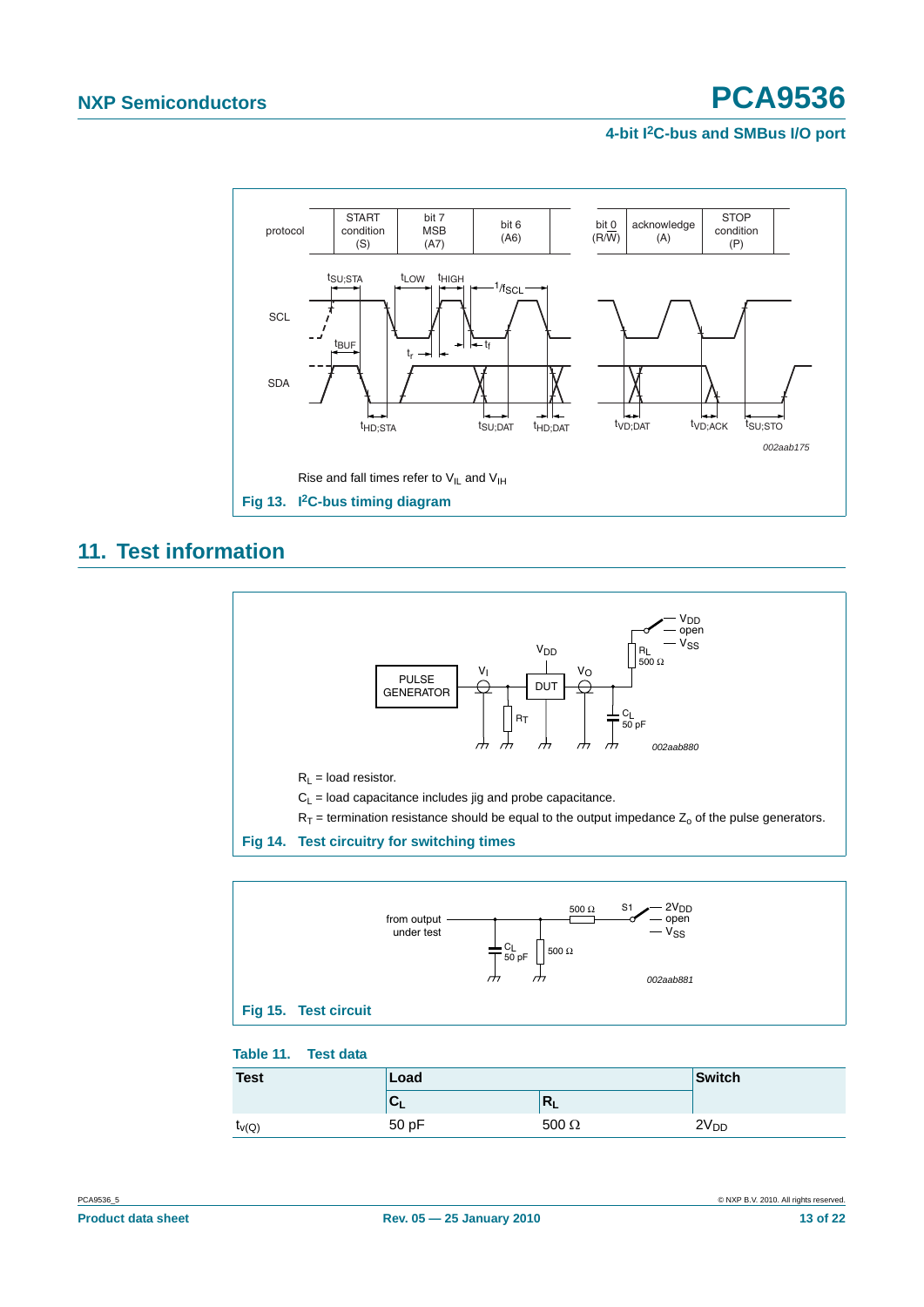

# <span id="page-12-0"></span>**11. Test information**





#### **Table 11. Test data**

| <b>Test</b>  | Load         | Switch       |                  |
|--------------|--------------|--------------|------------------|
|              | $\mathbf{U}$ | $R_{\rm I}$  |                  |
| $t_{\nu(Q)}$ | 50 pF        | $500 \Omega$ | 2V <sub>DD</sub> |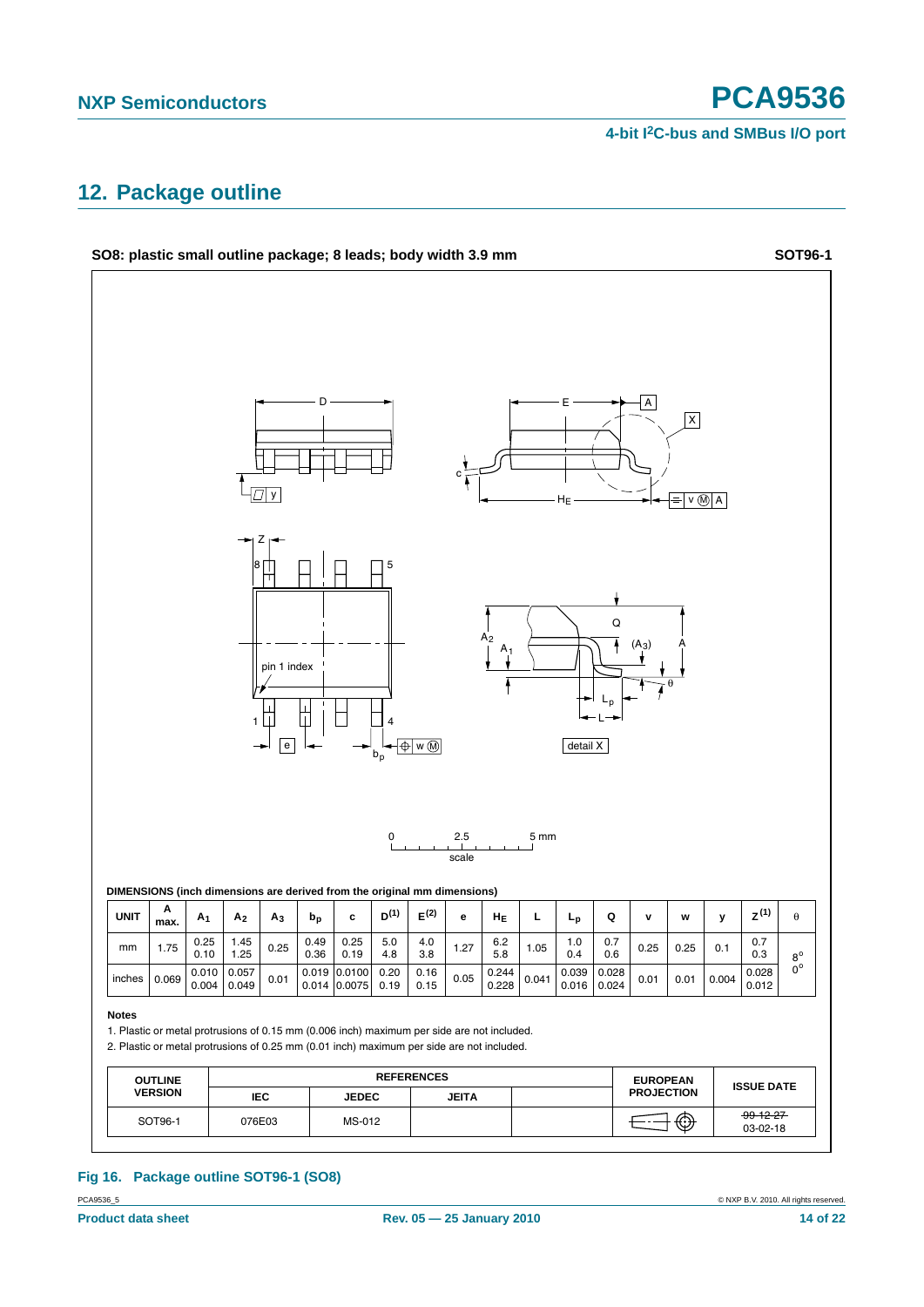# <span id="page-13-0"></span>**12. Package outline**



# **Fig 16. Package outline SOT96-1 (SO8)**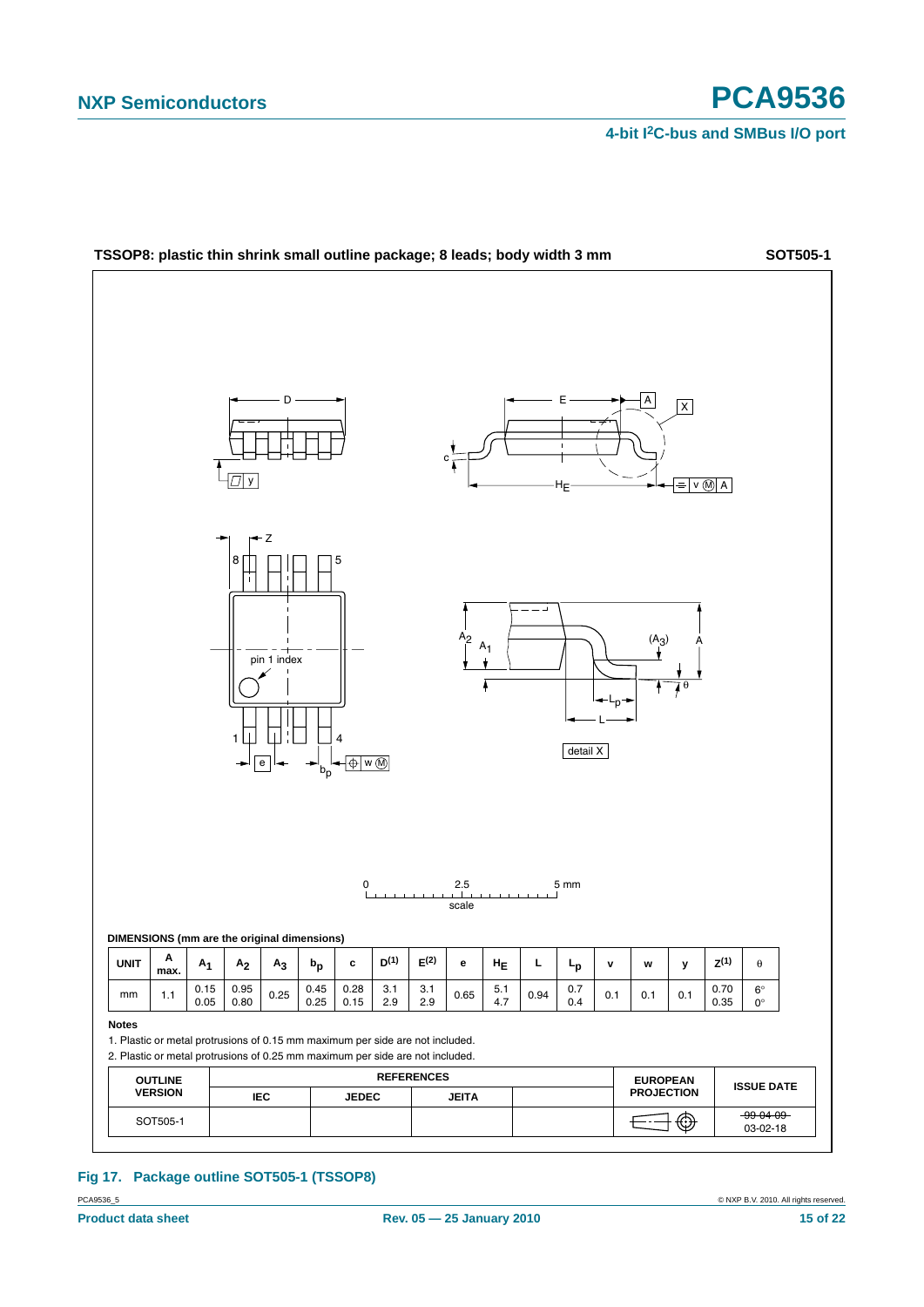

PCA9536\_5 © NXP B.V. 2010. All rights reserved. **Fig 17. Package outline SOT505-1 (TSSOP8)**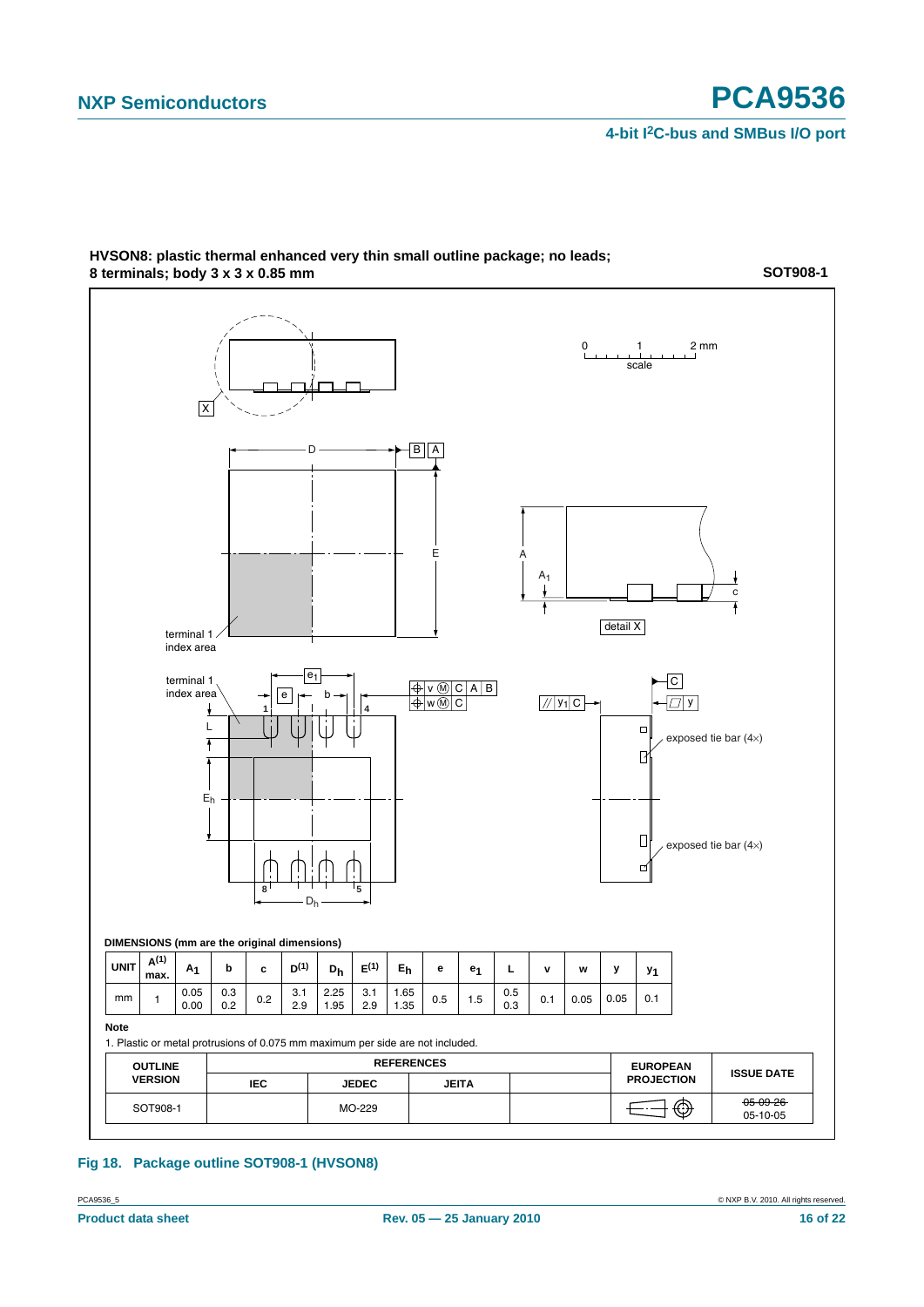

#### **HVSON8: plastic thermal enhanced very thin small outline package; no leads; 8 terminals; body 3 x 3 x 0.85 mm**

**Fig 18. Package outline SOT908-1 (HVSON8)**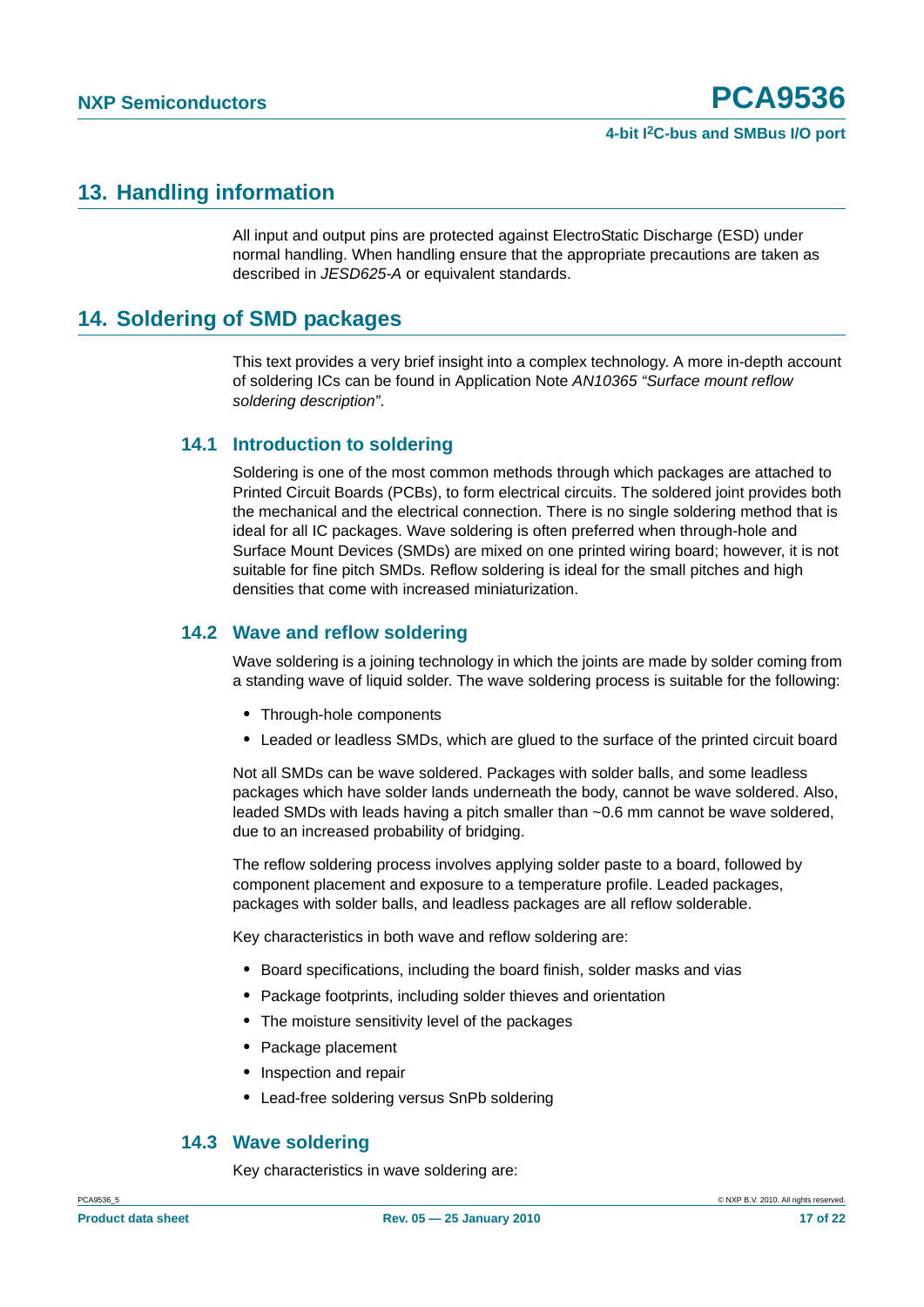# <span id="page-16-0"></span>**13. Handling information**

All input and output pins are protected against ElectroStatic Discharge (ESD) under normal handling. When handling ensure that the appropriate precautions are taken as described in *JESD625-A* or equivalent standards.

# <span id="page-16-1"></span>**14. Soldering of SMD packages**

This text provides a very brief insight into a complex technology. A more in-depth account of soldering ICs can be found in Application Note *AN10365 "Surface mount reflow soldering description"*.

### <span id="page-16-2"></span>**14.1 Introduction to soldering**

Soldering is one of the most common methods through which packages are attached to Printed Circuit Boards (PCBs), to form electrical circuits. The soldered joint provides both the mechanical and the electrical connection. There is no single soldering method that is ideal for all IC packages. Wave soldering is often preferred when through-hole and Surface Mount Devices (SMDs) are mixed on one printed wiring board; however, it is not suitable for fine pitch SMDs. Reflow soldering is ideal for the small pitches and high densities that come with increased miniaturization.

### <span id="page-16-3"></span>**14.2 Wave and reflow soldering**

Wave soldering is a joining technology in which the joints are made by solder coming from a standing wave of liquid solder. The wave soldering process is suitable for the following:

- **•** Through-hole components
- **•** Leaded or leadless SMDs, which are glued to the surface of the printed circuit board

Not all SMDs can be wave soldered. Packages with solder balls, and some leadless packages which have solder lands underneath the body, cannot be wave soldered. Also, leaded SMDs with leads having a pitch smaller than ~0.6 mm cannot be wave soldered, due to an increased probability of bridging.

The reflow soldering process involves applying solder paste to a board, followed by component placement and exposure to a temperature profile. Leaded packages, packages with solder balls, and leadless packages are all reflow solderable.

Key characteristics in both wave and reflow soldering are:

- **•** Board specifications, including the board finish, solder masks and vias
- **•** Package footprints, including solder thieves and orientation
- **•** The moisture sensitivity level of the packages
- **•** Package placement
- **•** Inspection and repair
- **•** Lead-free soldering versus SnPb soldering

### <span id="page-16-4"></span>**14.3 Wave soldering**

Key characteristics in wave soldering are: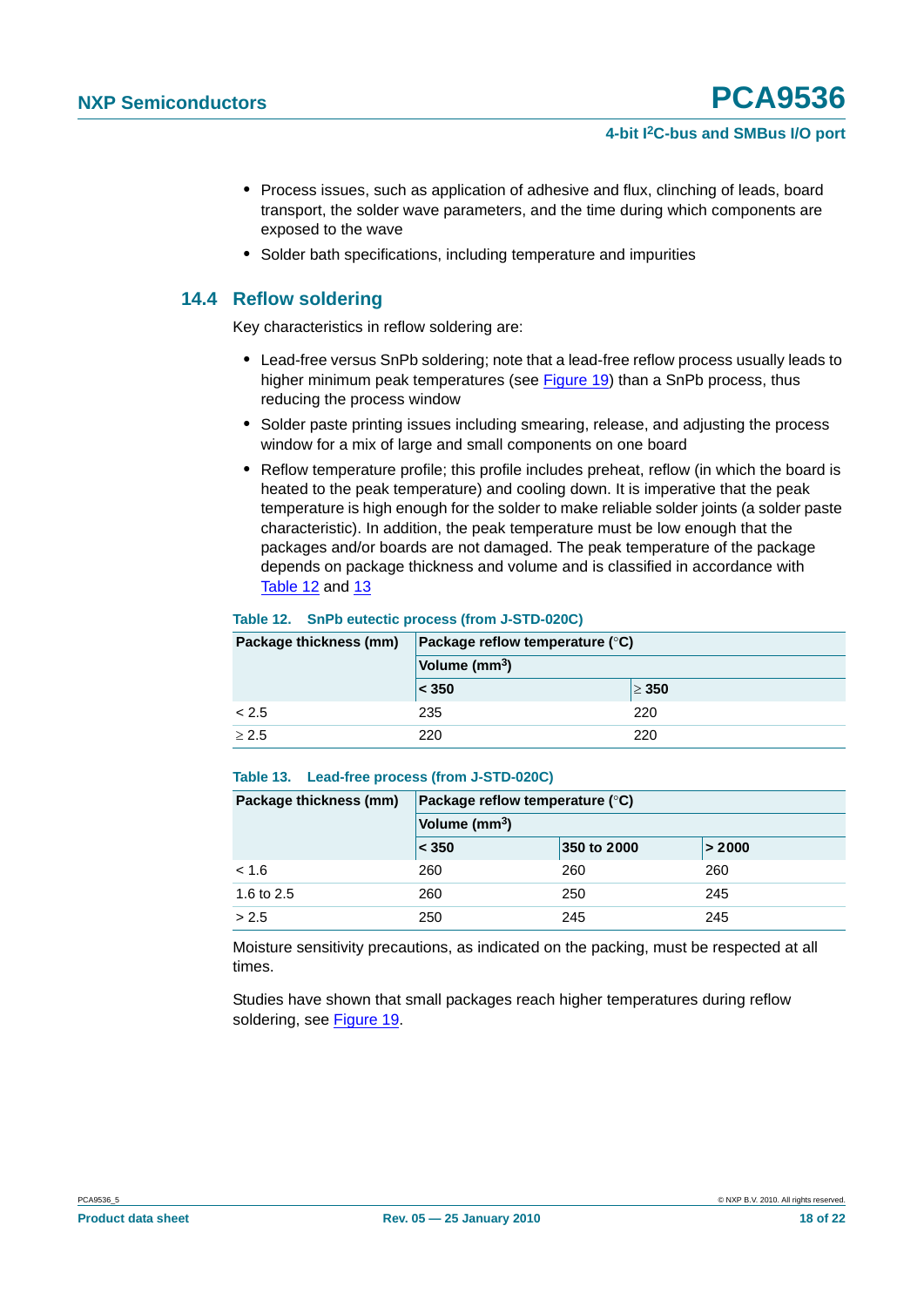- **•** Process issues, such as application of adhesive and flux, clinching of leads, board transport, the solder wave parameters, and the time during which components are exposed to the wave
- **•** Solder bath specifications, including temperature and impurities

# <span id="page-17-0"></span>**14.4 Reflow soldering**

Key characteristics in reflow soldering are:

- **•** Lead-free versus SnPb soldering; note that a lead-free reflow process usually leads to higher minimum peak temperatures (see Figure 19) than a SnPb process, thus reducing the process window
- **•** Solder paste printing issues including smearing, release, and adjusting the process window for a mix of large and small components on one board
- **•** Reflow temperature profile; this profile includes preheat, reflow (in which the board is heated to the peak temperature) and cooling down. It is imperative that the peak temperature is high enough for the solder to make reliable solder joints (a solder paste characteristic). In addition, the peak temperature must be low enough that the packages and/or boards are not damaged. The peak temperature of the package depends on package thickness and volume and is classified in accordance with Table 12 and 13

#### **Table 12. SnPb eutectic process (from J-STD-020C)**

| Package thickness (mm) | <b>Package reflow temperature (°C)</b> |            |
|------------------------|----------------------------------------|------------|
|                        | Volume (mm <sup>3</sup> )              |            |
|                        | < 350                                  | $\geq 350$ |
| < 2.5                  | 235                                    | 220        |
| > 2.5                  | 220                                    | 220        |

#### **Table 13. Lead-free process (from J-STD-020C)**

| Package thickness (mm) | Package reflow temperature $(^\circ \mathsf{C})$ |             |        |
|------------------------|--------------------------------------------------|-------------|--------|
|                        | Volume (mm <sup>3</sup> )                        |             |        |
|                        | $\leq 350$                                       | 350 to 2000 | > 2000 |
| < 1.6                  | 260                                              | 260         | 260    |
| 1.6 to 2.5             | 260                                              | 250         | 245    |
| > 2.5                  | 250                                              | 245         | 245    |

Moisture sensitivity precautions, as indicated on the packing, must be respected at all times.

Studies have shown that small packages reach higher temperatures during reflow soldering, see Figure 19.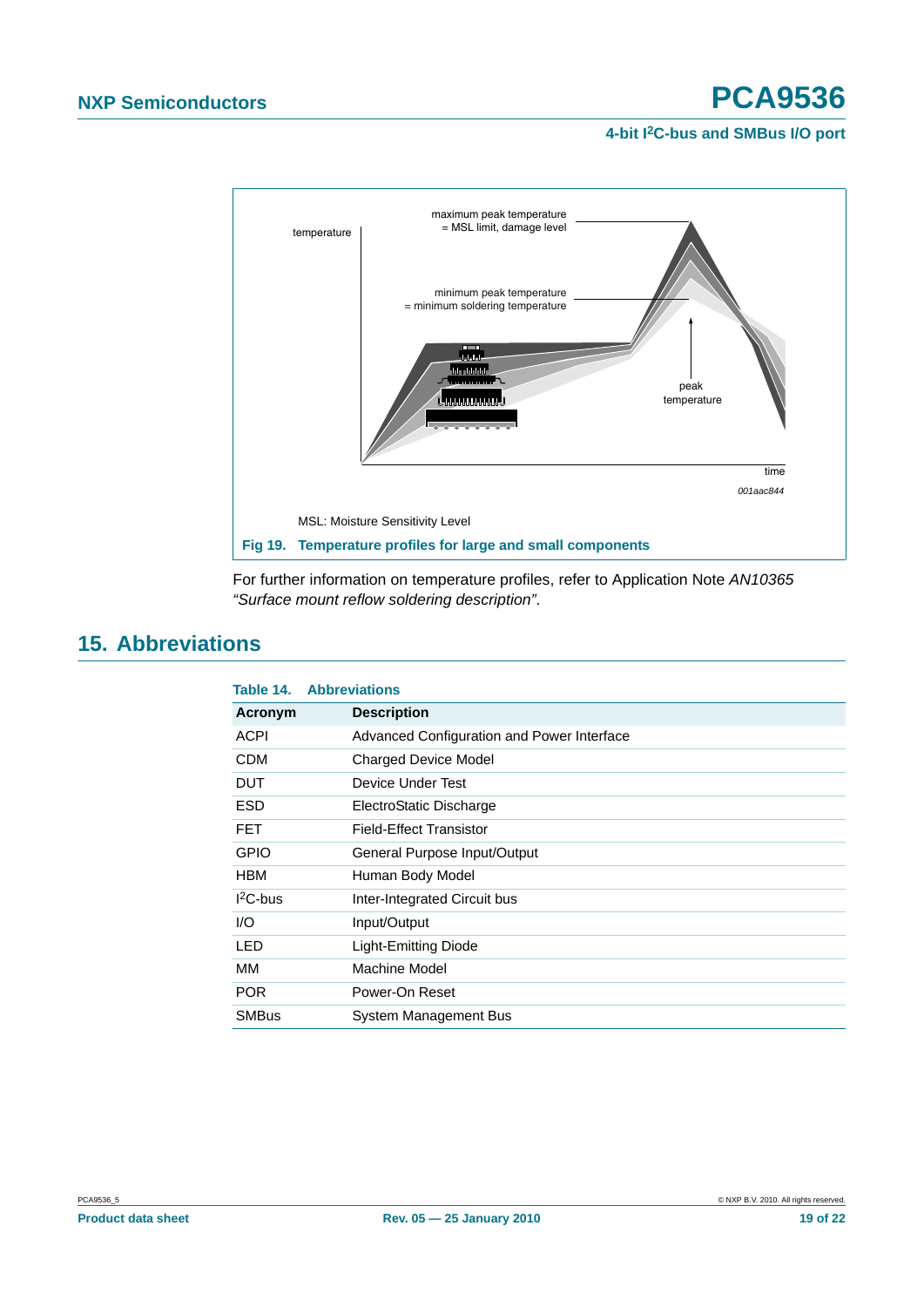



For further information on temperature profiles, refer to Application Note *AN10365 "Surface mount reflow soldering description"*.

# <span id="page-18-0"></span>**15. Abbreviations**

| Table 14.    | <b>Abbreviations</b>                       |
|--------------|--------------------------------------------|
| Acronym      | <b>Description</b>                         |
| <b>ACPI</b>  | Advanced Configuration and Power Interface |
| <b>CDM</b>   | <b>Charged Device Model</b>                |
| DUT          | Device Under Test                          |
| <b>ESD</b>   | ElectroStatic Discharge                    |
| <b>FET</b>   | Field-Effect Transistor                    |
| <b>GPIO</b>  | General Purpose Input/Output               |
| <b>HBM</b>   | Human Body Model                           |
| $12C$ -bus   | Inter-Integrated Circuit bus               |
| 1/O          | Input/Output                               |
| <b>LED</b>   | Light-Emitting Diode                       |
| MМ           | Machine Model                              |
| <b>POR</b>   | Power-On Reset                             |
| <b>SMBus</b> | System Management Bus                      |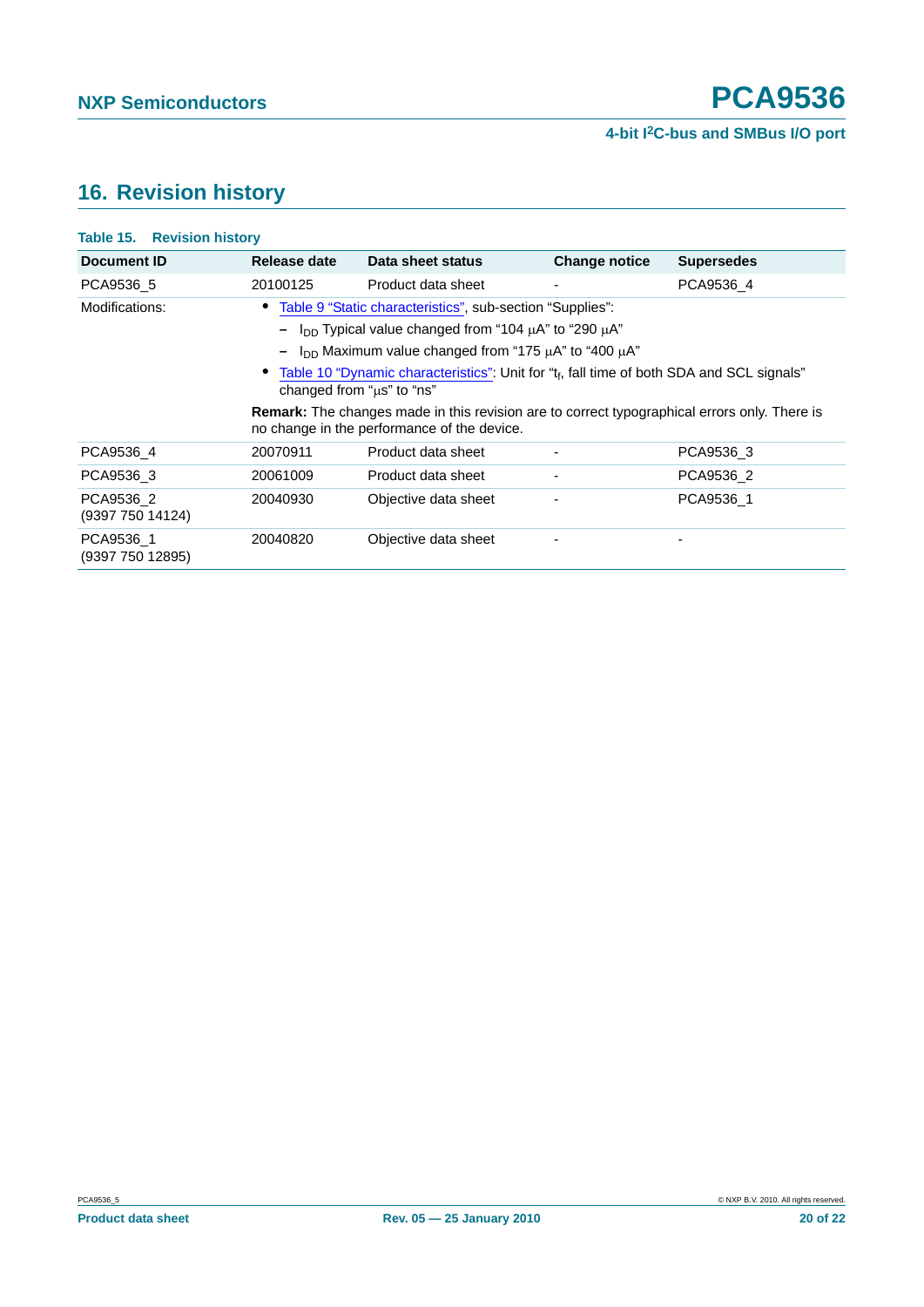# <span id="page-19-0"></span>**16. Revision history**

| <b>Table 15. Revision history</b> |                           |                                                                                                                                                                                                                                                                                                                                                                                                                                                                                 |                          |                   |
|-----------------------------------|---------------------------|---------------------------------------------------------------------------------------------------------------------------------------------------------------------------------------------------------------------------------------------------------------------------------------------------------------------------------------------------------------------------------------------------------------------------------------------------------------------------------|--------------------------|-------------------|
| Document ID                       | Release date              | Data sheet status                                                                                                                                                                                                                                                                                                                                                                                                                                                               | <b>Change notice</b>     | <b>Supersedes</b> |
| PCA9536 5                         | 20100125                  | Product data sheet                                                                                                                                                                                                                                                                                                                                                                                                                                                              | $\overline{\phantom{a}}$ | PCA9536 4         |
| Modifications:                    | changed from "us" to "ns" | • Table 9 "Static characteristics", sub-section "Supplies":<br>I <sub>DD</sub> Typical value changed from "104 $\mu$ A" to "290 $\mu$ A"<br>$I_{DD}$ Maximum value changed from "175 $\mu$ A" to "400 $\mu$ A"<br>• Table 10 "Dynamic characteristics": Unit for "t <sub>f</sub> , fall time of both SDA and SCL signals"<br><b>Remark:</b> The changes made in this revision are to correct typographical errors only. There is<br>no change in the performance of the device. |                          |                   |
| PCA9536 4                         | 20070911                  | Product data sheet                                                                                                                                                                                                                                                                                                                                                                                                                                                              |                          | PCA9536 3         |
| PCA9536 3                         | 20061009                  | Product data sheet                                                                                                                                                                                                                                                                                                                                                                                                                                                              |                          | PCA9536 2         |
| PCA9536 2<br>(9397 750 14124)     | 20040930                  | Objective data sheet                                                                                                                                                                                                                                                                                                                                                                                                                                                            |                          | PCA9536 1         |
| PCA9536 1<br>(9397 750 12895)     | 20040820                  | Objective data sheet                                                                                                                                                                                                                                                                                                                                                                                                                                                            |                          |                   |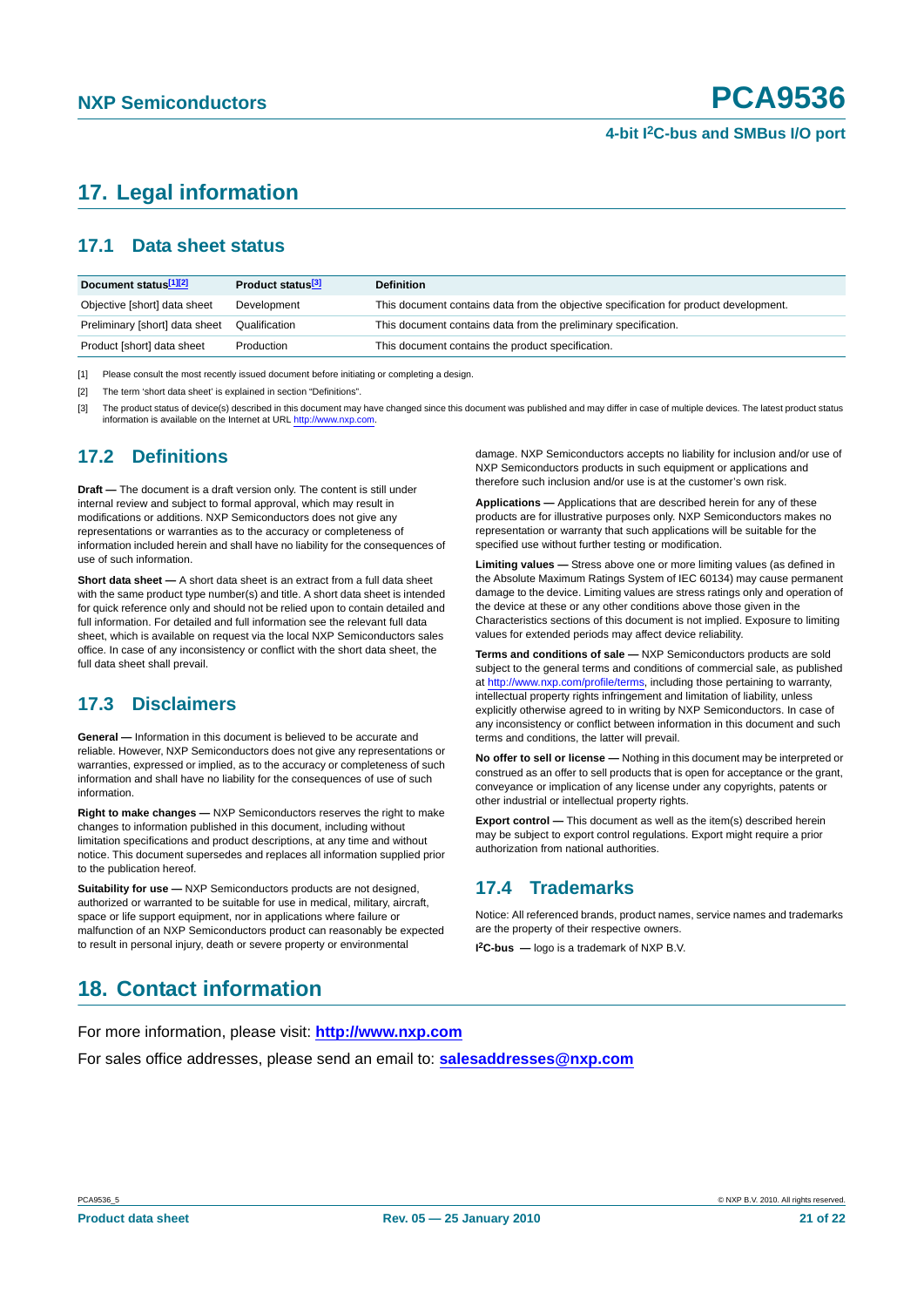# <span id="page-20-0"></span>**17. Legal information**

# <span id="page-20-1"></span>**17.1 Data sheet status**

| Document status[1][2]          | Product status <sup>[3]</sup> | <b>Definition</b>                                                                     |
|--------------------------------|-------------------------------|---------------------------------------------------------------------------------------|
| Objective [short] data sheet   | Development                   | This document contains data from the objective specification for product development. |
| Preliminary [short] data sheet | Qualification                 | This document contains data from the preliminary specification.                       |
| Product [short] data sheet     | Production                    | This document contains the product specification.                                     |

[1] Please consult the most recently issued document before initiating or completing a design.

[2] The term 'short data sheet' is explained in section "Definitions".

[3] The product status of device(s) described in this document may have changed since this document was published and may differ in case of multiple devices. The latest product status<br>information is available on the Intern

# <span id="page-20-2"></span>**17.2 Definitions**

**Draft —** The document is a draft version only. The content is still under internal review and subject to formal approval, which may result in modifications or additions. NXP Semiconductors does not give any representations or warranties as to the accuracy or completeness of information included herein and shall have no liability for the consequences of use of such information.

**Short data sheet —** A short data sheet is an extract from a full data sheet with the same product type number(s) and title. A short data sheet is intended for quick reference only and should not be relied upon to contain detailed and full information. For detailed and full information see the relevant full data sheet, which is available on request via the local NXP Semiconductors sales office. In case of any inconsistency or conflict with the short data sheet, the full data sheet shall prevail.

# <span id="page-20-3"></span>**17.3 Disclaimers**

**General —** Information in this document is believed to be accurate and reliable. However, NXP Semiconductors does not give any representations or warranties, expressed or implied, as to the accuracy or completeness of such information and shall have no liability for the consequences of use of such information.

**Right to make changes —** NXP Semiconductors reserves the right to make changes to information published in this document, including without limitation specifications and product descriptions, at any time and without notice. This document supersedes and replaces all information supplied prior to the publication hereof.

**Suitability for use —** NXP Semiconductors products are not designed, authorized or warranted to be suitable for use in medical, military, aircraft, space or life support equipment, nor in applications where failure or malfunction of an NXP Semiconductors product can reasonably be expected to result in personal injury, death or severe property or environmental

damage. NXP Semiconductors accepts no liability for inclusion and/or use of NXP Semiconductors products in such equipment or applications and therefore such inclusion and/or use is at the customer's own risk.

**Applications —** Applications that are described herein for any of these products are for illustrative purposes only. NXP Semiconductors makes no representation or warranty that such applications will be suitable for the specified use without further testing or modification.

**Limiting values —** Stress above one or more limiting values (as defined in the Absolute Maximum Ratings System of IEC 60134) may cause permanent damage to the device. Limiting values are stress ratings only and operation of the device at these or any other conditions above those given in the Characteristics sections of this document is not implied. Exposure to limiting values for extended periods may affect device reliability.

**Terms and conditions of sale —** NXP Semiconductors products are sold subject to the general terms and conditions of commercial sale, as published at http://www.nxp.com/profile/terms, including those pertaining to warranty, intellectual property rights infringement and limitation of liability, unless explicitly otherwise agreed to in writing by NXP Semiconductors. In case of any inconsistency or conflict between information in this document and such terms and conditions, the latter will prevail.

**No offer to sell or license —** Nothing in this document may be interpreted or construed as an offer to sell products that is open for acceptance or the grant, conveyance or implication of any license under any copyrights, patents or other industrial or intellectual property rights.

**Export control —** This document as well as the item(s) described herein may be subject to export control regulations. Export might require a prior authorization from national authorities.

# <span id="page-20-4"></span>**17.4 Trademarks**

Notice: All referenced brands, product names, service names and trademarks are the property of their respective owners.

**I 2C-bus —** logo is a trademark of NXP B.V.

# <span id="page-20-5"></span>**18. Contact information**

For more information, please visit: **http://www.nxp.com**

For sales office addresses, please send an email to: **salesaddresses@nxp.com**